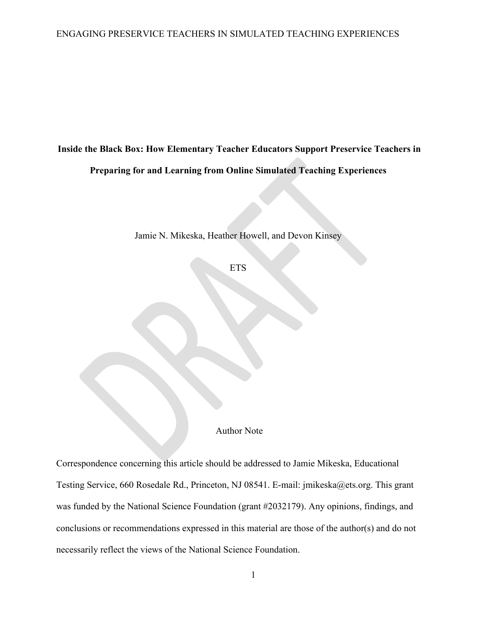**Inside the Black Box: How Elementary Teacher Educators Support Preservice Teachers in Preparing for and Learning from Online Simulated Teaching Experiences**

Jamie N. Mikeska, Heather Howell, and Devon Kinsey

**ETS** 

Author Note

Correspondence concerning this article should be addressed to Jamie Mikeska, Educational Testing Service, 660 Rosedale Rd., Princeton, NJ 08541. E-mail: jmikeska@ets.org. This grant was funded by the National Science Foundation (grant #2032179). Any opinions, findings, and conclusions or recommendations expressed in this material are those of the author(s) and do not necessarily reflect the views of the National Science Foundation.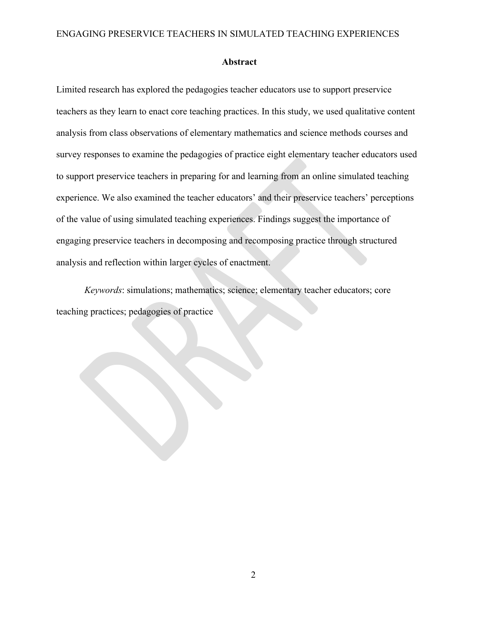#### **Abstract**

Limited research has explored the pedagogies teacher educators use to support preservice teachers as they learn to enact core teaching practices. In this study, we used qualitative content analysis from class observations of elementary mathematics and science methods courses and survey responses to examine the pedagogies of practice eight elementary teacher educators used to support preservice teachers in preparing for and learning from an online simulated teaching experience. We also examined the teacher educators' and their preservice teachers' perceptions of the value of using simulated teaching experiences. Findings suggest the importance of engaging preservice teachers in decomposing and recomposing practice through structured analysis and reflection within larger cycles of enactment.

*Keywords*: simulations; mathematics; science; elementary teacher educators; core teaching practices; pedagogies of practice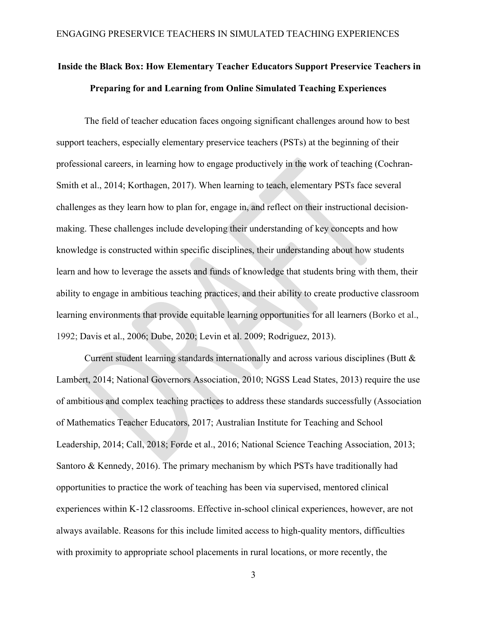# **Inside the Black Box: How Elementary Teacher Educators Support Preservice Teachers in Preparing for and Learning from Online Simulated Teaching Experiences**

The field of teacher education faces ongoing significant challenges around how to best support teachers, especially elementary preservice teachers (PSTs) at the beginning of their professional careers, in learning how to engage productively in the work of teaching (Cochran-Smith et al., 2014; Korthagen, 2017). When learning to teach, elementary PSTs face several challenges as they learn how to plan for, engage in, and reflect on their instructional decisionmaking. These challenges include developing their understanding of key concepts and how knowledge is constructed within specific disciplines, their understanding about how students learn and how to leverage the assets and funds of knowledge that students bring with them, their ability to engage in ambitious teaching practices, and their ability to create productive classroom learning environments that provide equitable learning opportunities for all learners (Borko et al., 1992; Davis et al., 2006; Dube, 2020; Levin et al. 2009; Rodriguez, 2013).

Current student learning standards internationally and across various disciplines (Butt & Lambert, 2014; National Governors Association, 2010; NGSS Lead States, 2013) require the use of ambitious and complex teaching practices to address these standards successfully (Association of Mathematics Teacher Educators, 2017; Australian Institute for Teaching and School Leadership, 2014; Call, 2018; Forde et al., 2016; National Science Teaching Association, 2013; Santoro & Kennedy, 2016). The primary mechanism by which PSTs have traditionally had opportunities to practice the work of teaching has been via supervised, mentored clinical experiences within K-12 classrooms. Effective in-school clinical experiences, however, are not always available. Reasons for this include limited access to high-quality mentors, difficulties with proximity to appropriate school placements in rural locations, or more recently, the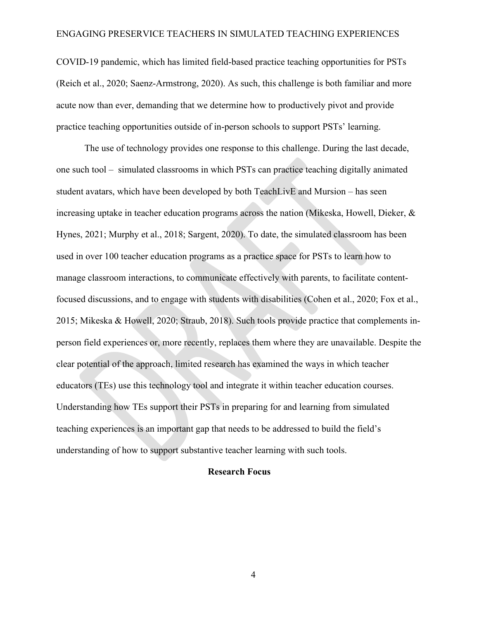COVID-19 pandemic, which has limited field-based practice teaching opportunities for PSTs (Reich et al., 2020; Saenz-Armstrong, 2020). As such, this challenge is both familiar and more acute now than ever, demanding that we determine how to productively pivot and provide practice teaching opportunities outside of in-person schools to support PSTs' learning.

The use of technology provides one response to this challenge. During the last decade, one such tool – simulated classrooms in which PSTs can practice teaching digitally animated student avatars, which have been developed by both TeachLivE and Mursion – has seen increasing uptake in teacher education programs across the nation (Mikeska, Howell, Dieker, & Hynes, 2021; Murphy et al., 2018; Sargent, 2020). To date, the simulated classroom has been used in over 100 teacher education programs as a practice space for PSTs to learn how to manage classroom interactions, to communicate effectively with parents, to facilitate contentfocused discussions, and to engage with students with disabilities (Cohen et al., 2020; Fox et al., 2015; Mikeska & Howell, 2020; Straub, 2018). Such tools provide practice that complements inperson field experiences or, more recently, replaces them where they are unavailable. Despite the clear potential of the approach, limited research has examined the ways in which teacher educators (TEs) use this technology tool and integrate it within teacher education courses. Understanding how TEs support their PSTs in preparing for and learning from simulated teaching experiences is an important gap that needs to be addressed to build the field's understanding of how to support substantive teacher learning with such tools.

#### **Research Focus**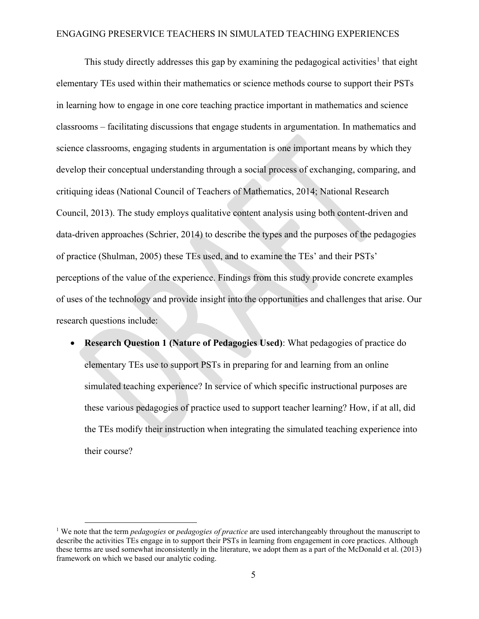This study directly addresses this gap by examining the pedagogical activities<sup>[1](#page-4-0)</sup> that eight elementary TEs used within their mathematics or science methods course to support their PSTs in learning how to engage in one core teaching practice important in mathematics and science classrooms – facilitating discussions that engage students in argumentation. In mathematics and science classrooms, engaging students in argumentation is one important means by which they develop their conceptual understanding through a social process of exchanging, comparing, and critiquing ideas (National Council of Teachers of Mathematics, 2014; National Research Council, 2013). The study employs qualitative content analysis using both content-driven and data-driven approaches (Schrier, 2014) to describe the types and the purposes of the pedagogies of practice (Shulman, 2005) these TEs used, and to examine the TEs' and their PSTs' perceptions of the value of the experience. Findings from this study provide concrete examples of uses of the technology and provide insight into the opportunities and challenges that arise. Our research questions include:

• **Research Question 1 (Nature of Pedagogies Used)**: What pedagogies of practice do elementary TEs use to support PSTs in preparing for and learning from an online simulated teaching experience? In service of which specific instructional purposes are these various pedagogies of practice used to support teacher learning? How, if at all, did the TEs modify their instruction when integrating the simulated teaching experience into their course?

<span id="page-4-0"></span><sup>1</sup> We note that the term *pedagogies* or *pedagogies of practice* are used interchangeably throughout the manuscript to describe the activities TEs engage in to support their PSTs in learning from engagement in core practices. Although these terms are used somewhat inconsistently in the literature, we adopt them as a part of the McDonald et al. (2013) framework on which we based our analytic coding.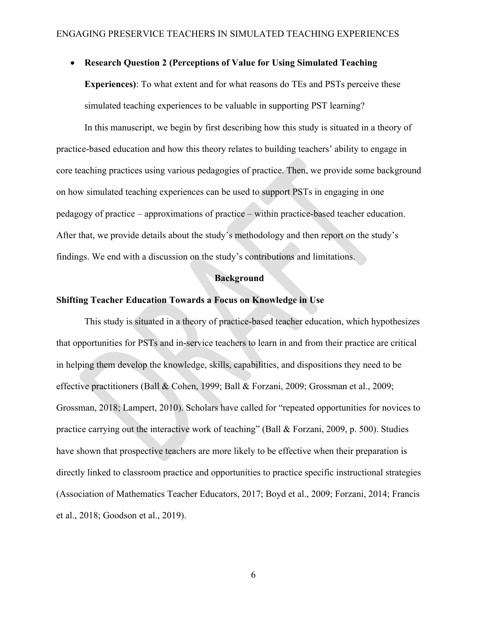#### • **Research Question 2 (Perceptions of Value for Using Simulated Teaching**

**Experiences)**: To what extent and for what reasons do TEs and PSTs perceive these simulated teaching experiences to be valuable in supporting PST learning?

In this manuscript, we begin by first describing how this study is situated in a theory of practice-based education and how this theory relates to building teachers' ability to engage in core teaching practices using various pedagogies of practice. Then, we provide some background on how simulated teaching experiences can be used to support PSTs in engaging in one pedagogy of practice – approximations of practice – within practice-based teacher education. After that, we provide details about the study's methodology and then report on the study's findings. We end with a discussion on the study's contributions and limitations.

#### **Background**

#### **Shifting Teacher Education Towards a Focus on Knowledge in Use**

This study is situated in a theory of practice-based teacher education, which hypothesizes that opportunities for PSTs and in-service teachers to learn in and from their practice are critical in helping them develop the knowledge, skills, capabilities, and dispositions they need to be effective practitioners (Ball & Cohen, 1999; Ball & Forzani, 2009; Grossman et al., 2009; Grossman, 2018; Lampert, 2010). Scholars have called for "repeated opportunities for novices to practice carrying out the interactive work of teaching" (Ball & Forzani, 2009, p. 500). Studies have shown that prospective teachers are more likely to be effective when their preparation is directly linked to classroom practice and opportunities to practice specific instructional strategies (Association of Mathematics Teacher Educators, 2017; Boyd et al., 2009; Forzani, 2014; Francis et al., 2018; Goodson et al., 2019).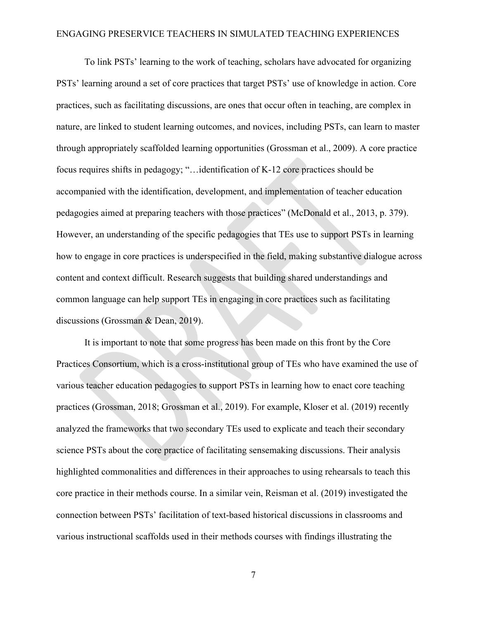To link PSTs' learning to the work of teaching, scholars have advocated for organizing PSTs' learning around a set of core practices that target PSTs' use of knowledge in action. Core practices, such as facilitating discussions, are ones that occur often in teaching, are complex in nature, are linked to student learning outcomes, and novices, including PSTs, can learn to master through appropriately scaffolded learning opportunities (Grossman et al., 2009). A core practice focus requires shifts in pedagogy; "…identification of K-12 core practices should be accompanied with the identification, development, and implementation of teacher education pedagogies aimed at preparing teachers with those practices" (McDonald et al., 2013, p. 379). However, an understanding of the specific pedagogies that TEs use to support PSTs in learning how to engage in core practices is underspecified in the field, making substantive dialogue across content and context difficult. Research suggests that building shared understandings and common language can help support TEs in engaging in core practices such as facilitating discussions (Grossman & Dean, 2019).

It is important to note that some progress has been made on this front by the Core Practices Consortium, which is a cross-institutional group of TEs who have examined the use of various teacher education pedagogies to support PSTs in learning how to enact core teaching practices (Grossman, 2018; Grossman et al., 2019). For example, Kloser et al. (2019) recently analyzed the frameworks that two secondary TEs used to explicate and teach their secondary science PSTs about the core practice of facilitating sensemaking discussions. Their analysis highlighted commonalities and differences in their approaches to using rehearsals to teach this core practice in their methods course. In a similar vein, Reisman et al. (2019) investigated the connection between PSTs' facilitation of text-based historical discussions in classrooms and various instructional scaffolds used in their methods courses with findings illustrating the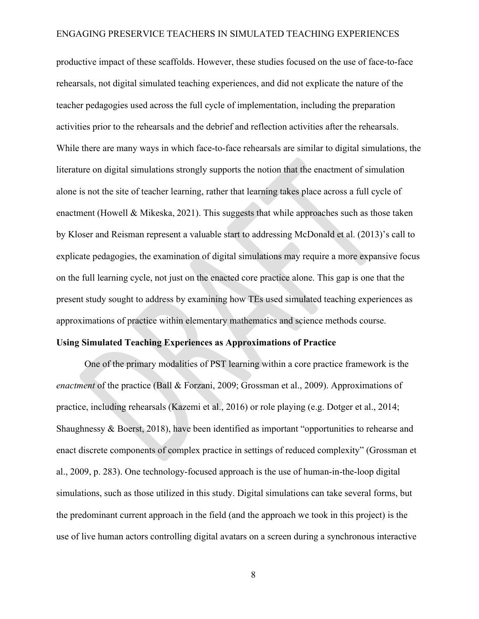productive impact of these scaffolds. However, these studies focused on the use of face-to-face rehearsals, not digital simulated teaching experiences, and did not explicate the nature of the teacher pedagogies used across the full cycle of implementation, including the preparation activities prior to the rehearsals and the debrief and reflection activities after the rehearsals. While there are many ways in which face-to-face rehearsals are similar to digital simulations, the literature on digital simulations strongly supports the notion that the enactment of simulation alone is not the site of teacher learning, rather that learning takes place across a full cycle of enactment (Howell & Mikeska, 2021). This suggests that while approaches such as those taken by Kloser and Reisman represent a valuable start to addressing McDonald et al. (2013)'s call to explicate pedagogies, the examination of digital simulations may require a more expansive focus on the full learning cycle, not just on the enacted core practice alone. This gap is one that the present study sought to address by examining how TEs used simulated teaching experiences as approximations of practice within elementary mathematics and science methods course.

### **Using Simulated Teaching Experiences as Approximations of Practice**

One of the primary modalities of PST learning within a core practice framework is the *enactment* of the practice (Ball & Forzani, 2009; Grossman et al., 2009). Approximations of practice, including rehearsals (Kazemi et al., 2016) or role playing (e.g. Dotger et al., 2014; Shaughnessy & Boerst, 2018), have been identified as important "opportunities to rehearse and enact discrete components of complex practice in settings of reduced complexity" (Grossman et al., 2009, p. 283). One technology-focused approach is the use of human-in-the-loop digital simulations, such as those utilized in this study. Digital simulations can take several forms, but the predominant current approach in the field (and the approach we took in this project) is the use of live human actors controlling digital avatars on a screen during a synchronous interactive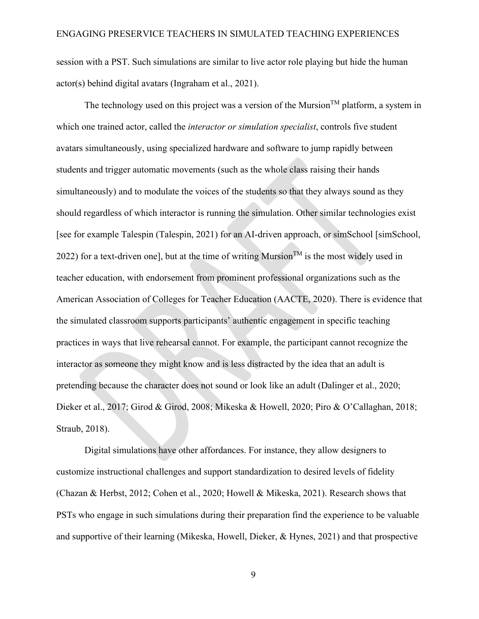session with a PST. Such simulations are similar to live actor role playing but hide the human actor(s) behind digital avatars (Ingraham et al., 2021).

The technology used on this project was a version of the Mursion<sup>TM</sup> platform, a system in which one trained actor, called the *interactor or simulation specialist*, controls five student avatars simultaneously, using specialized hardware and software to jump rapidly between students and trigger automatic movements (such as the whole class raising their hands simultaneously) and to modulate the voices of the students so that they always sound as they should regardless of which interactor is running the simulation. Other similar technologies exist [see for example Talespin (Talespin, 2021) for an AI-driven approach, or simSchool [simSchool, 2022) for a text-driven one], but at the time of writing Mursion<sup>TM</sup> is the most widely used in teacher education, with endorsement from prominent professional organizations such as the American Association of Colleges for Teacher Education (AACTE, 2020). There is evidence that the simulated classroom supports participants' authentic engagement in specific teaching practices in ways that live rehearsal cannot. For example, the participant cannot recognize the interactor as someone they might know and is less distracted by the idea that an adult is pretending because the character does not sound or look like an adult (Dalinger et al., 2020; Dieker et al., 2017; Girod & Girod, 2008; Mikeska & Howell, 2020; Piro & O'Callaghan, 2018; Straub, 2018).

Digital simulations have other affordances. For instance, they allow designers to customize instructional challenges and support standardization to desired levels of fidelity (Chazan & Herbst, 2012; Cohen et al., 2020; Howell & Mikeska, 2021). Research shows that PSTs who engage in such simulations during their preparation find the experience to be valuable and supportive of their learning (Mikeska, Howell, Dieker, & Hynes, 2021) and that prospective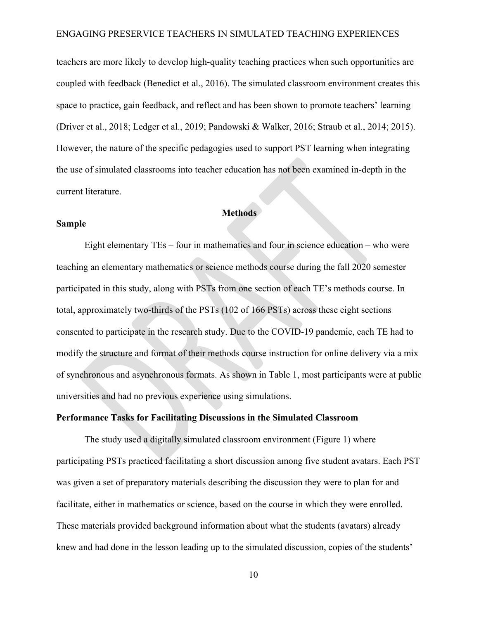teachers are more likely to develop high-quality teaching practices when such opportunities are coupled with feedback (Benedict et al., 2016). The simulated classroom environment creates this space to practice, gain feedback, and reflect and has been shown to promote teachers' learning (Driver et al., 2018; Ledger et al., 2019; Pandowski & Walker, 2016; Straub et al., 2014; 2015). However, the nature of the specific pedagogies used to support PST learning when integrating the use of simulated classrooms into teacher education has not been examined in-depth in the current literature.

## **Methods**

#### **Sample**

Eight elementary TEs – four in mathematics and four in science education – who were teaching an elementary mathematics or science methods course during the fall 2020 semester participated in this study, along with PSTs from one section of each TE's methods course. In total, approximately two-thirds of the PSTs (102 of 166 PSTs) across these eight sections consented to participate in the research study. Due to the COVID-19 pandemic, each TE had to modify the structure and format of their methods course instruction for online delivery via a mix of synchronous and asynchronous formats. As shown in Table 1, most participants were at public universities and had no previous experience using simulations.

#### **Performance Tasks for Facilitating Discussions in the Simulated Classroom**

The study used a digitally simulated classroom environment (Figure 1) where participating PSTs practiced facilitating a short discussion among five student avatars. Each PST was given a set of preparatory materials describing the discussion they were to plan for and facilitate, either in mathematics or science, based on the course in which they were enrolled. These materials provided background information about what the students (avatars) already knew and had done in the lesson leading up to the simulated discussion, copies of the students'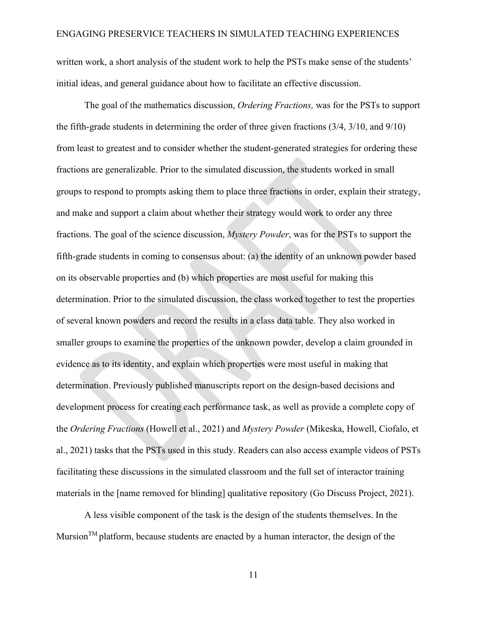written work, a short analysis of the student work to help the PSTs make sense of the students' initial ideas, and general guidance about how to facilitate an effective discussion.

The goal of the mathematics discussion, *Ordering Fractions,* was for the PSTs to support the fifth-grade students in determining the order of three given fractions (3/4, 3/10, and 9/10) from least to greatest and to consider whether the student-generated strategies for ordering these fractions are generalizable. Prior to the simulated discussion, the students worked in small groups to respond to prompts asking them to place three fractions in order, explain their strategy, and make and support a claim about whether their strategy would work to order any three fractions. The goal of the science discussion, *Mystery Powder*, was for the PSTs to support the fifth-grade students in coming to consensus about: (a) the identity of an unknown powder based on its observable properties and (b) which properties are most useful for making this determination. Prior to the simulated discussion, the class worked together to test the properties of several known powders and record the results in a class data table. They also worked in smaller groups to examine the properties of the unknown powder, develop a claim grounded in evidence as to its identity, and explain which properties were most useful in making that determination. Previously published manuscripts report on the design-based decisions and development process for creating each performance task, as well as provide a complete copy of the *Ordering Fractions* (Howell et al., 2021) and *Mystery Powder* (Mikeska, Howell, Ciofalo, et al., 2021) tasks that the PSTs used in this study. Readers can also access example videos of PSTs facilitating these discussions in the simulated classroom and the full set of interactor training materials in the [name removed for blinding] qualitative repository (Go Discuss Project, 2021).

A less visible component of the task is the design of the students themselves. In the Mursion<sup>TM</sup> platform, because students are enacted by a human interactor, the design of the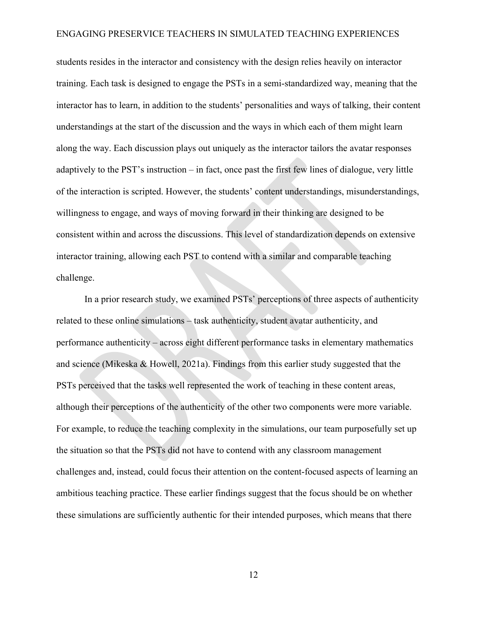students resides in the interactor and consistency with the design relies heavily on interactor training. Each task is designed to engage the PSTs in a semi-standardized way, meaning that the interactor has to learn, in addition to the students' personalities and ways of talking, their content understandings at the start of the discussion and the ways in which each of them might learn along the way. Each discussion plays out uniquely as the interactor tailors the avatar responses adaptively to the PST's instruction – in fact, once past the first few lines of dialogue, very little of the interaction is scripted. However, the students' content understandings, misunderstandings, willingness to engage, and ways of moving forward in their thinking are designed to be consistent within and across the discussions. This level of standardization depends on extensive interactor training, allowing each PST to contend with a similar and comparable teaching challenge.

In a prior research study, we examined PSTs' perceptions of three aspects of authenticity related to these online simulations – task authenticity, student avatar authenticity, and performance authenticity – across eight different performance tasks in elementary mathematics and science (Mikeska & Howell, 2021a). Findings from this earlier study suggested that the PSTs perceived that the tasks well represented the work of teaching in these content areas, although their perceptions of the authenticity of the other two components were more variable. For example, to reduce the teaching complexity in the simulations, our team purposefully set up the situation so that the PSTs did not have to contend with any classroom management challenges and, instead, could focus their attention on the content-focused aspects of learning an ambitious teaching practice. These earlier findings suggest that the focus should be on whether these simulations are sufficiently authentic for their intended purposes, which means that there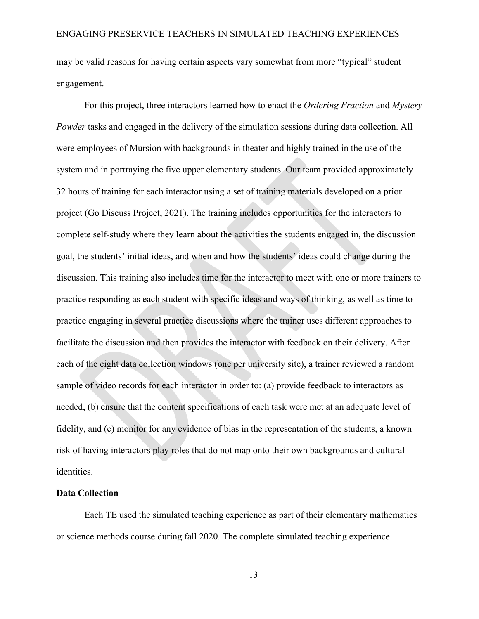may be valid reasons for having certain aspects vary somewhat from more "typical" student engagement.

For this project, three interactors learned how to enact the *Ordering Fraction* and *Mystery Powder* tasks and engaged in the delivery of the simulation sessions during data collection. All were employees of Mursion with backgrounds in theater and highly trained in the use of the system and in portraying the five upper elementary students. Our team provided approximately 32 hours of training for each interactor using a set of training materials developed on a prior project (Go Discuss Project, 2021). The training includes opportunities for the interactors to complete self-study where they learn about the activities the students engaged in, the discussion goal, the students' initial ideas, and when and how the students' ideas could change during the discussion. This training also includes time for the interactor to meet with one or more trainers to practice responding as each student with specific ideas and ways of thinking, as well as time to practice engaging in several practice discussions where the trainer uses different approaches to facilitate the discussion and then provides the interactor with feedback on their delivery. After each of the eight data collection windows (one per university site), a trainer reviewed a random sample of video records for each interactor in order to: (a) provide feedback to interactors as needed, (b) ensure that the content specifications of each task were met at an adequate level of fidelity, and (c) monitor for any evidence of bias in the representation of the students, a known risk of having interactors play roles that do not map onto their own backgrounds and cultural identities.

#### **Data Collection**

Each TE used the simulated teaching experience as part of their elementary mathematics or science methods course during fall 2020. The complete simulated teaching experience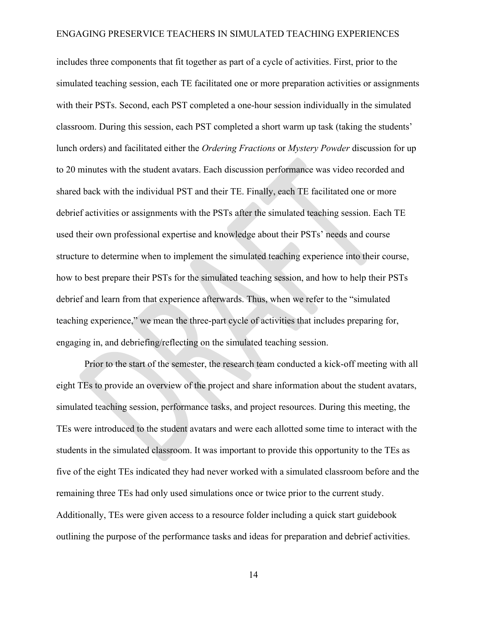includes three components that fit together as part of a cycle of activities. First, prior to the simulated teaching session, each TE facilitated one or more preparation activities or assignments with their PSTs. Second, each PST completed a one-hour session individually in the simulated classroom. During this session, each PST completed a short warm up task (taking the students' lunch orders) and facilitated either the *Ordering Fractions* or *Mystery Powder* discussion for up to 20 minutes with the student avatars. Each discussion performance was video recorded and shared back with the individual PST and their TE. Finally, each TE facilitated one or more debrief activities or assignments with the PSTs after the simulated teaching session. Each TE used their own professional expertise and knowledge about their PSTs' needs and course structure to determine when to implement the simulated teaching experience into their course, how to best prepare their PSTs for the simulated teaching session, and how to help their PSTs debrief and learn from that experience afterwards. Thus, when we refer to the "simulated teaching experience," we mean the three-part cycle of activities that includes preparing for, engaging in, and debriefing/reflecting on the simulated teaching session.

Prior to the start of the semester, the research team conducted a kick-off meeting with all eight TEs to provide an overview of the project and share information about the student avatars, simulated teaching session, performance tasks, and project resources. During this meeting, the TEs were introduced to the student avatars and were each allotted some time to interact with the students in the simulated classroom. It was important to provide this opportunity to the TEs as five of the eight TEs indicated they had never worked with a simulated classroom before and the remaining three TEs had only used simulations once or twice prior to the current study. Additionally, TEs were given access to a resource folder including a quick start guidebook outlining the purpose of the performance tasks and ideas for preparation and debrief activities.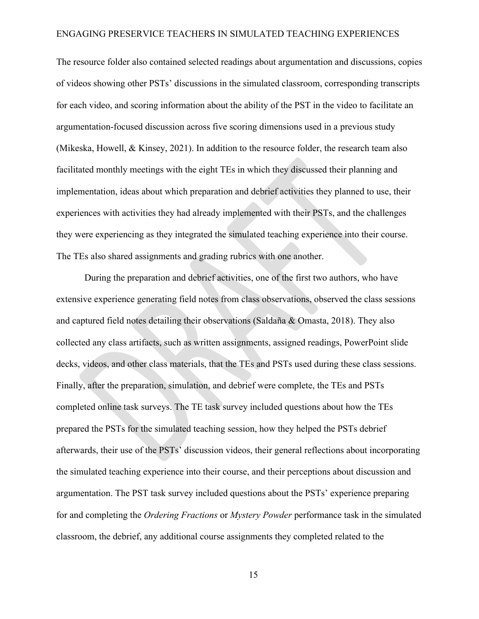The resource folder also contained selected readings about argumentation and discussions, copies of videos showing other PSTs' discussions in the simulated classroom, corresponding transcripts for each video, and scoring information about the ability of the PST in the video to facilitate an argumentation-focused discussion across five scoring dimensions used in a previous study (Mikeska, Howell, & Kinsey, 2021). In addition to the resource folder, the research team also facilitated monthly meetings with the eight TEs in which they discussed their planning and implementation, ideas about which preparation and debrief activities they planned to use, their experiences with activities they had already implemented with their PSTs, and the challenges they were experiencing as they integrated the simulated teaching experience into their course. The TEs also shared assignments and grading rubrics with one another.

During the preparation and debrief activities, one of the first two authors, who have extensive experience generating field notes from class observations, observed the class sessions and captured field notes detailing their observations (Saldaña & Omasta, 2018). They also collected any class artifacts, such as written assignments, assigned readings, PowerPoint slide decks, videos, and other class materials, that the TEs and PSTs used during these class sessions. Finally, after the preparation, simulation, and debrief were complete, the TEs and PSTs completed online task surveys. The TE task survey included questions about how the TEs prepared the PSTs for the simulated teaching session, how they helped the PSTs debrief afterwards, their use of the PSTs' discussion videos, their general reflections about incorporating the simulated teaching experience into their course, and their perceptions about discussion and argumentation. The PST task survey included questions about the PSTs' experience preparing for and completing the *Ordering Fractions* or *Mystery Powder* performance task in the simulated classroom, the debrief, any additional course assignments they completed related to the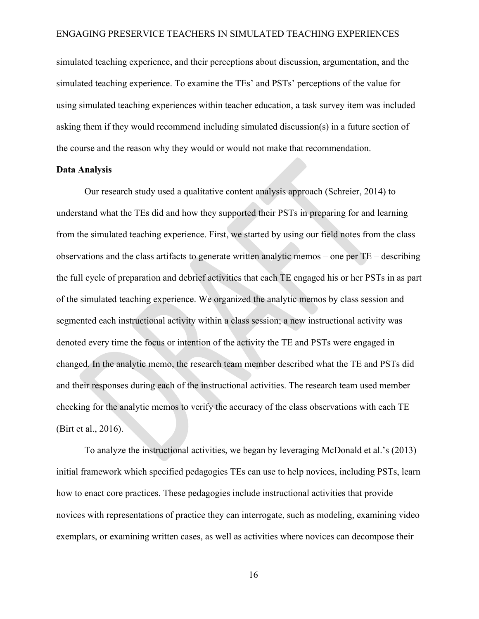simulated teaching experience, and their perceptions about discussion, argumentation, and the simulated teaching experience. To examine the TEs' and PSTs' perceptions of the value for using simulated teaching experiences within teacher education, a task survey item was included asking them if they would recommend including simulated discussion(s) in a future section of the course and the reason why they would or would not make that recommendation.

#### **Data Analysis**

Our research study used a qualitative content analysis approach (Schreier, 2014) to understand what the TEs did and how they supported their PSTs in preparing for and learning from the simulated teaching experience. First, we started by using our field notes from the class observations and the class artifacts to generate written analytic memos – one per TE – describing the full cycle of preparation and debrief activities that each TE engaged his or her PSTs in as part of the simulated teaching experience. We organized the analytic memos by class session and segmented each instructional activity within a class session; a new instructional activity was denoted every time the focus or intention of the activity the TE and PSTs were engaged in changed. In the analytic memo, the research team member described what the TE and PSTs did and their responses during each of the instructional activities. The research team used member checking for the analytic memos to verify the accuracy of the class observations with each TE (Birt et al., 2016).

To analyze the instructional activities, we began by leveraging McDonald et al.'s (2013) initial framework which specified pedagogies TEs can use to help novices, including PSTs, learn how to enact core practices. These pedagogies include instructional activities that provide novices with representations of practice they can interrogate, such as modeling, examining video exemplars, or examining written cases, as well as activities where novices can decompose their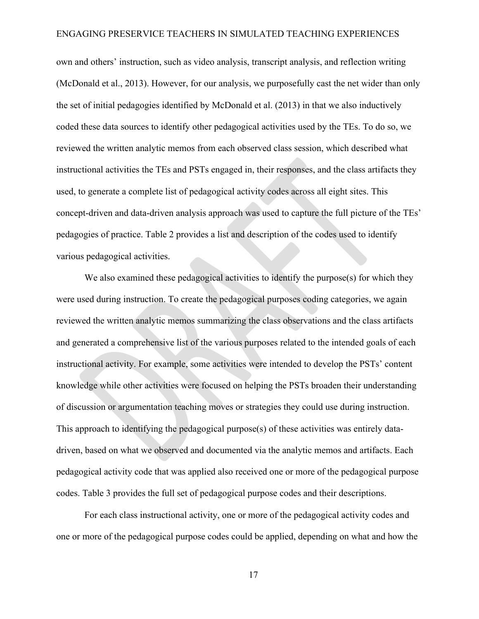own and others' instruction, such as video analysis, transcript analysis, and reflection writing (McDonald et al., 2013). However, for our analysis, we purposefully cast the net wider than only the set of initial pedagogies identified by McDonald et al. (2013) in that we also inductively coded these data sources to identify other pedagogical activities used by the TEs. To do so, we reviewed the written analytic memos from each observed class session, which described what instructional activities the TEs and PSTs engaged in, their responses, and the class artifacts they used, to generate a complete list of pedagogical activity codes across all eight sites. This concept-driven and data-driven analysis approach was used to capture the full picture of the TEs' pedagogies of practice. Table 2 provides a list and description of the codes used to identify various pedagogical activities.

We also examined these pedagogical activities to identify the purpose(s) for which they were used during instruction. To create the pedagogical purposes coding categories, we again reviewed the written analytic memos summarizing the class observations and the class artifacts and generated a comprehensive list of the various purposes related to the intended goals of each instructional activity. For example, some activities were intended to develop the PSTs' content knowledge while other activities were focused on helping the PSTs broaden their understanding of discussion or argumentation teaching moves or strategies they could use during instruction. This approach to identifying the pedagogical purpose(s) of these activities was entirely datadriven, based on what we observed and documented via the analytic memos and artifacts. Each pedagogical activity code that was applied also received one or more of the pedagogical purpose codes. Table 3 provides the full set of pedagogical purpose codes and their descriptions.

For each class instructional activity, one or more of the pedagogical activity codes and one or more of the pedagogical purpose codes could be applied, depending on what and how the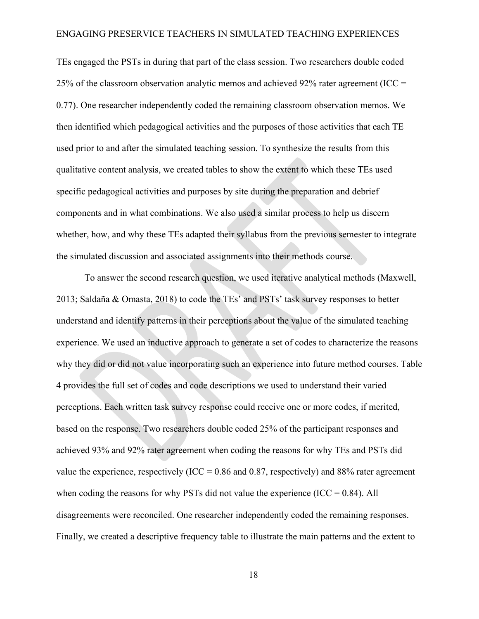TEs engaged the PSTs in during that part of the class session. Two researchers double coded 25% of the classroom observation analytic memos and achieved 92% rater agreement (ICC  $=$ 0.77). One researcher independently coded the remaining classroom observation memos. We then identified which pedagogical activities and the purposes of those activities that each TE used prior to and after the simulated teaching session. To synthesize the results from this qualitative content analysis, we created tables to show the extent to which these TEs used specific pedagogical activities and purposes by site during the preparation and debrief components and in what combinations. We also used a similar process to help us discern whether, how, and why these TEs adapted their syllabus from the previous semester to integrate the simulated discussion and associated assignments into their methods course.

To answer the second research question, we used iterative analytical methods (Maxwell, 2013; Saldaña & Omasta, 2018) to code the TEs' and PSTs' task survey responses to better understand and identify patterns in their perceptions about the value of the simulated teaching experience. We used an inductive approach to generate a set of codes to characterize the reasons why they did or did not value incorporating such an experience into future method courses. Table 4 provides the full set of codes and code descriptions we used to understand their varied perceptions. Each written task survey response could receive one or more codes, if merited, based on the response. Two researchers double coded 25% of the participant responses and achieved 93% and 92% rater agreement when coding the reasons for why TEs and PSTs did value the experience, respectively (ICC =  $0.86$  and  $0.87$ , respectively) and  $88\%$  rater agreement when coding the reasons for why PSTs did not value the experience (ICC =  $0.84$ ). All disagreements were reconciled. One researcher independently coded the remaining responses. Finally, we created a descriptive frequency table to illustrate the main patterns and the extent to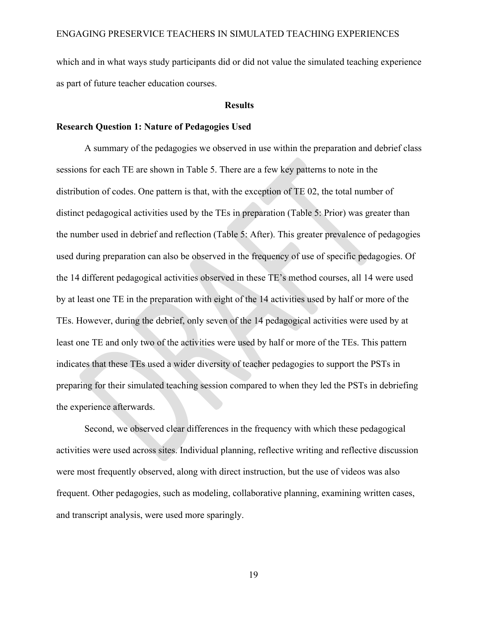which and in what ways study participants did or did not value the simulated teaching experience as part of future teacher education courses.

#### **Results**

#### **Research Question 1: Nature of Pedagogies Used**

A summary of the pedagogies we observed in use within the preparation and debrief class sessions for each TE are shown in Table 5. There are a few key patterns to note in the distribution of codes. One pattern is that, with the exception of TE 02, the total number of distinct pedagogical activities used by the TEs in preparation (Table 5: Prior) was greater than the number used in debrief and reflection (Table 5: After). This greater prevalence of pedagogies used during preparation can also be observed in the frequency of use of specific pedagogies. Of the 14 different pedagogical activities observed in these TE's method courses, all 14 were used by at least one TE in the preparation with eight of the 14 activities used by half or more of the TEs. However, during the debrief, only seven of the 14 pedagogical activities were used by at least one TE and only two of the activities were used by half or more of the TEs. This pattern indicates that these TEs used a wider diversity of teacher pedagogies to support the PSTs in preparing for their simulated teaching session compared to when they led the PSTs in debriefing the experience afterwards.

Second, we observed clear differences in the frequency with which these pedagogical activities were used across sites. Individual planning, reflective writing and reflective discussion were most frequently observed, along with direct instruction, but the use of videos was also frequent. Other pedagogies, such as modeling, collaborative planning, examining written cases, and transcript analysis, were used more sparingly.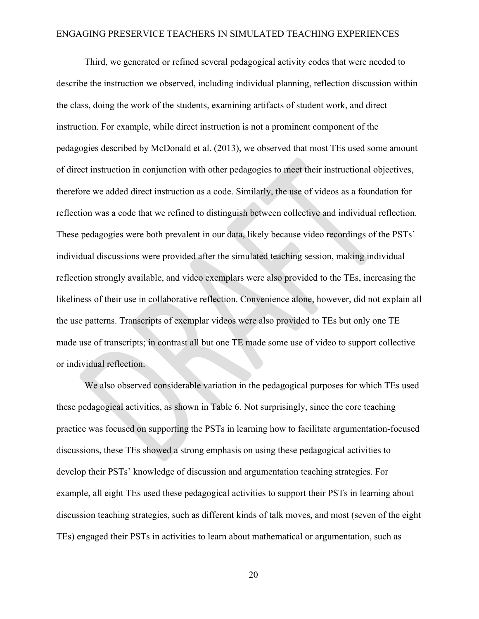Third, we generated or refined several pedagogical activity codes that were needed to describe the instruction we observed, including individual planning, reflection discussion within the class, doing the work of the students, examining artifacts of student work, and direct instruction. For example, while direct instruction is not a prominent component of the pedagogies described by McDonald et al. (2013), we observed that most TEs used some amount of direct instruction in conjunction with other pedagogies to meet their instructional objectives, therefore we added direct instruction as a code. Similarly, the use of videos as a foundation for reflection was a code that we refined to distinguish between collective and individual reflection. These pedagogies were both prevalent in our data, likely because video recordings of the PSTs' individual discussions were provided after the simulated teaching session, making individual reflection strongly available, and video exemplars were also provided to the TEs, increasing the likeliness of their use in collaborative reflection. Convenience alone, however, did not explain all the use patterns. Transcripts of exemplar videos were also provided to TEs but only one TE made use of transcripts; in contrast all but one TE made some use of video to support collective or individual reflection.

We also observed considerable variation in the pedagogical purposes for which TEs used these pedagogical activities, as shown in Table 6. Not surprisingly, since the core teaching practice was focused on supporting the PSTs in learning how to facilitate argumentation-focused discussions, these TEs showed a strong emphasis on using these pedagogical activities to develop their PSTs' knowledge of discussion and argumentation teaching strategies. For example, all eight TEs used these pedagogical activities to support their PSTs in learning about discussion teaching strategies, such as different kinds of talk moves, and most (seven of the eight TEs) engaged their PSTs in activities to learn about mathematical or argumentation, such as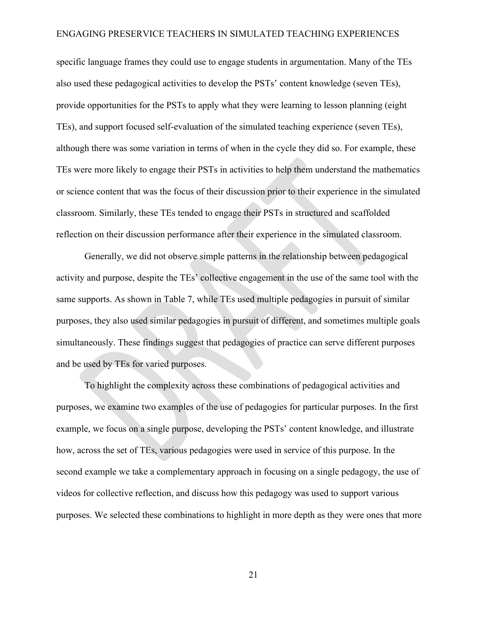specific language frames they could use to engage students in argumentation. Many of the TEs also used these pedagogical activities to develop the PSTs' content knowledge (seven TEs), provide opportunities for the PSTs to apply what they were learning to lesson planning (eight TEs), and support focused self-evaluation of the simulated teaching experience (seven TEs), although there was some variation in terms of when in the cycle they did so. For example, these TEs were more likely to engage their PSTs in activities to help them understand the mathematics or science content that was the focus of their discussion prior to their experience in the simulated classroom. Similarly, these TEs tended to engage their PSTs in structured and scaffolded reflection on their discussion performance after their experience in the simulated classroom.

Generally, we did not observe simple patterns in the relationship between pedagogical activity and purpose, despite the TEs' collective engagement in the use of the same tool with the same supports. As shown in Table 7, while TEs used multiple pedagogies in pursuit of similar purposes, they also used similar pedagogies in pursuit of different, and sometimes multiple goals simultaneously. These findings suggest that pedagogies of practice can serve different purposes and be used by TEs for varied purposes.

To highlight the complexity across these combinations of pedagogical activities and purposes, we examine two examples of the use of pedagogies for particular purposes. In the first example, we focus on a single purpose, developing the PSTs' content knowledge, and illustrate how, across the set of TEs, various pedagogies were used in service of this purpose. In the second example we take a complementary approach in focusing on a single pedagogy, the use of videos for collective reflection, and discuss how this pedagogy was used to support various purposes. We selected these combinations to highlight in more depth as they were ones that more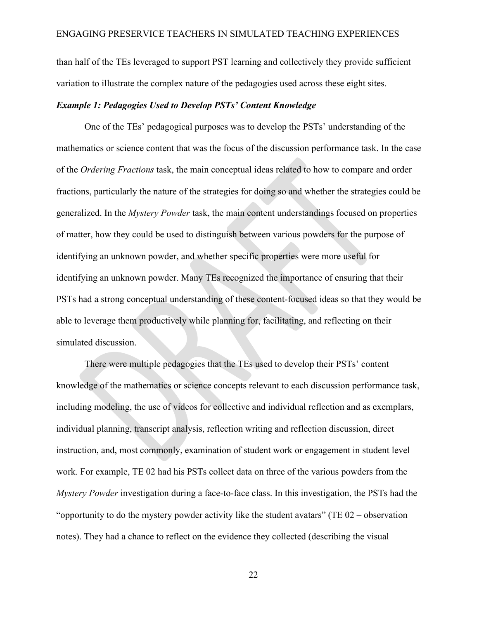than half of the TEs leveraged to support PST learning and collectively they provide sufficient variation to illustrate the complex nature of the pedagogies used across these eight sites.

#### *Example 1: Pedagogies Used to Develop PSTs' Content Knowledge*

One of the TEs' pedagogical purposes was to develop the PSTs' understanding of the mathematics or science content that was the focus of the discussion performance task. In the case of the *Ordering Fractions* task, the main conceptual ideas related to how to compare and order fractions, particularly the nature of the strategies for doing so and whether the strategies could be generalized. In the *Mystery Powder* task, the main content understandings focused on properties of matter, how they could be used to distinguish between various powders for the purpose of identifying an unknown powder, and whether specific properties were more useful for identifying an unknown powder. Many TEs recognized the importance of ensuring that their PSTs had a strong conceptual understanding of these content-focused ideas so that they would be able to leverage them productively while planning for, facilitating, and reflecting on their simulated discussion.

There were multiple pedagogies that the TEs used to develop their PSTs' content knowledge of the mathematics or science concepts relevant to each discussion performance task, including modeling, the use of videos for collective and individual reflection and as exemplars, individual planning, transcript analysis, reflection writing and reflection discussion, direct instruction, and, most commonly, examination of student work or engagement in student level work. For example, TE 02 had his PSTs collect data on three of the various powders from the *Mystery Powder* investigation during a face-to-face class. In this investigation, the PSTs had the "opportunity to do the mystery powder activity like the student avatars" (TE  $02$  – observation notes). They had a chance to reflect on the evidence they collected (describing the visual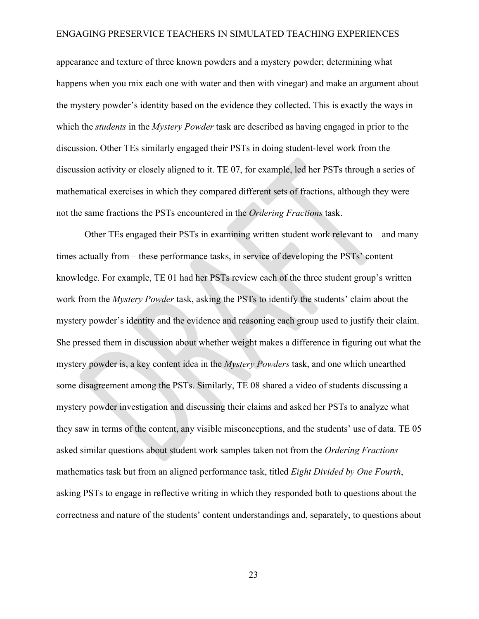appearance and texture of three known powders and a mystery powder; determining what happens when you mix each one with water and then with vinegar) and make an argument about the mystery powder's identity based on the evidence they collected. This is exactly the ways in which the *students* in the *Mystery Powder* task are described as having engaged in prior to the discussion. Other TEs similarly engaged their PSTs in doing student-level work from the discussion activity or closely aligned to it. TE 07, for example, led her PSTs through a series of mathematical exercises in which they compared different sets of fractions, although they were not the same fractions the PSTs encountered in the *Ordering Fractions* task.

Other TEs engaged their PSTs in examining written student work relevant to – and many times actually from – these performance tasks, in service of developing the PSTs' content knowledge. For example, TE 01 had her PSTs review each of the three student group's written work from the *Mystery Powder* task, asking the PSTs to identify the students' claim about the mystery powder's identity and the evidence and reasoning each group used to justify their claim. She pressed them in discussion about whether weight makes a difference in figuring out what the mystery powder is, a key content idea in the *Mystery Powders* task, and one which unearthed some disagreement among the PSTs. Similarly, TE 08 shared a video of students discussing a mystery powder investigation and discussing their claims and asked her PSTs to analyze what they saw in terms of the content, any visible misconceptions, and the students' use of data. TE 05 asked similar questions about student work samples taken not from the *Ordering Fractions* mathematics task but from an aligned performance task, titled *Eight Divided by One Fourth*, asking PSTs to engage in reflective writing in which they responded both to questions about the correctness and nature of the students' content understandings and, separately, to questions about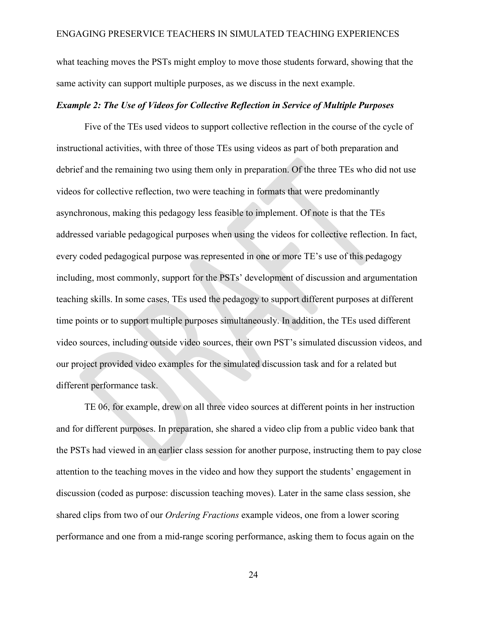what teaching moves the PSTs might employ to move those students forward, showing that the same activity can support multiple purposes, as we discuss in the next example.

#### *Example 2: The Use of Videos for Collective Reflection in Service of Multiple Purposes*

Five of the TEs used videos to support collective reflection in the course of the cycle of instructional activities, with three of those TEs using videos as part of both preparation and debrief and the remaining two using them only in preparation. Of the three TEs who did not use videos for collective reflection, two were teaching in formats that were predominantly asynchronous, making this pedagogy less feasible to implement. Of note is that the TEs addressed variable pedagogical purposes when using the videos for collective reflection. In fact, every coded pedagogical purpose was represented in one or more TE's use of this pedagogy including, most commonly, support for the PSTs' development of discussion and argumentation teaching skills. In some cases, TEs used the pedagogy to support different purposes at different time points or to support multiple purposes simultaneously. In addition, the TEs used different video sources, including outside video sources, their own PST's simulated discussion videos, and our project provided video examples for the simulated discussion task and for a related but different performance task.

TE 06, for example, drew on all three video sources at different points in her instruction and for different purposes. In preparation, she shared a video clip from a public video bank that the PSTs had viewed in an earlier class session for another purpose, instructing them to pay close attention to the teaching moves in the video and how they support the students' engagement in discussion (coded as purpose: discussion teaching moves). Later in the same class session, she shared clips from two of our *Ordering Fractions* example videos, one from a lower scoring performance and one from a mid-range scoring performance, asking them to focus again on the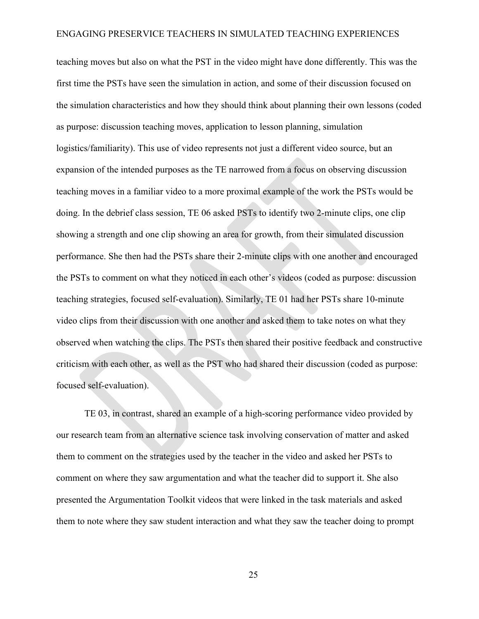teaching moves but also on what the PST in the video might have done differently. This was the first time the PSTs have seen the simulation in action, and some of their discussion focused on the simulation characteristics and how they should think about planning their own lessons (coded as purpose: discussion teaching moves, application to lesson planning, simulation logistics/familiarity). This use of video represents not just a different video source, but an expansion of the intended purposes as the TE narrowed from a focus on observing discussion teaching moves in a familiar video to a more proximal example of the work the PSTs would be doing. In the debrief class session, TE 06 asked PSTs to identify two 2-minute clips, one clip showing a strength and one clip showing an area for growth, from their simulated discussion performance. She then had the PSTs share their 2-minute clips with one another and encouraged the PSTs to comment on what they noticed in each other's videos (coded as purpose: discussion teaching strategies, focused self-evaluation). Similarly, TE 01 had her PSTs share 10-minute video clips from their discussion with one another and asked them to take notes on what they observed when watching the clips. The PSTs then shared their positive feedback and constructive criticism with each other, as well as the PST who had shared their discussion (coded as purpose: focused self-evaluation).

TE 03, in contrast, shared an example of a high-scoring performance video provided by our research team from an alternative science task involving conservation of matter and asked them to comment on the strategies used by the teacher in the video and asked her PSTs to comment on where they saw argumentation and what the teacher did to support it. She also presented the Argumentation Toolkit videos that were linked in the task materials and asked them to note where they saw student interaction and what they saw the teacher doing to prompt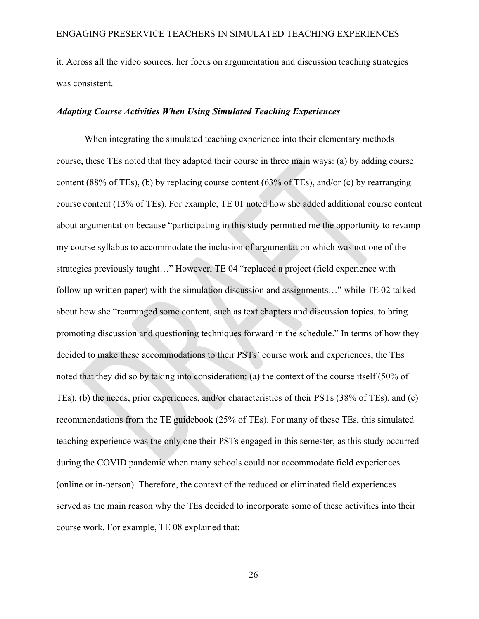it. Across all the video sources, her focus on argumentation and discussion teaching strategies was consistent.

#### *Adapting Course Activities When Using Simulated Teaching Experiences*

When integrating the simulated teaching experience into their elementary methods course, these TEs noted that they adapted their course in three main ways: (a) by adding course content (88% of TEs), (b) by replacing course content (63% of TEs), and/or (c) by rearranging course content (13% of TEs). For example, TE 01 noted how she added additional course content about argumentation because "participating in this study permitted me the opportunity to revamp my course syllabus to accommodate the inclusion of argumentation which was not one of the strategies previously taught…" However, TE 04 "replaced a project (field experience with follow up written paper) with the simulation discussion and assignments…" while TE 02 talked about how she "rearranged some content, such as text chapters and discussion topics, to bring promoting discussion and questioning techniques forward in the schedule." In terms of how they decided to make these accommodations to their PSTs' course work and experiences, the TEs noted that they did so by taking into consideration: (a) the context of the course itself (50% of TEs), (b) the needs, prior experiences, and/or characteristics of their PSTs (38% of TEs), and (c) recommendations from the TE guidebook (25% of TEs). For many of these TEs, this simulated teaching experience was the only one their PSTs engaged in this semester, as this study occurred during the COVID pandemic when many schools could not accommodate field experiences (online or in-person). Therefore, the context of the reduced or eliminated field experiences served as the main reason why the TEs decided to incorporate some of these activities into their course work. For example, TE 08 explained that: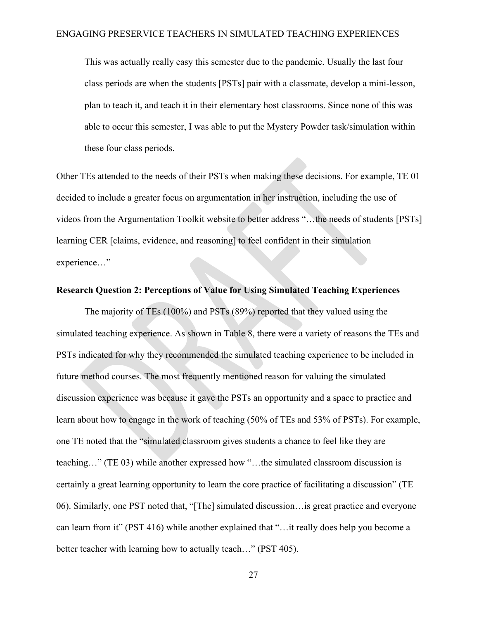This was actually really easy this semester due to the pandemic. Usually the last four class periods are when the students [PSTs] pair with a classmate, develop a mini-lesson, plan to teach it, and teach it in their elementary host classrooms. Since none of this was able to occur this semester, I was able to put the Mystery Powder task/simulation within these four class periods.

Other TEs attended to the needs of their PSTs when making these decisions. For example, TE 01 decided to include a greater focus on argumentation in her instruction, including the use of videos from the Argumentation Toolkit website to better address "…the needs of students [PSTs] learning CER [claims, evidence, and reasoning] to feel confident in their simulation experience…"

### **Research Question 2: Perceptions of Value for Using Simulated Teaching Experiences**

The majority of TEs (100%) and PSTs (89%) reported that they valued using the simulated teaching experience. As shown in Table 8, there were a variety of reasons the TEs and PSTs indicated for why they recommended the simulated teaching experience to be included in future method courses. The most frequently mentioned reason for valuing the simulated discussion experience was because it gave the PSTs an opportunity and a space to practice and learn about how to engage in the work of teaching (50% of TEs and 53% of PSTs). For example, one TE noted that the "simulated classroom gives students a chance to feel like they are teaching…" (TE 03) while another expressed how "…the simulated classroom discussion is certainly a great learning opportunity to learn the core practice of facilitating a discussion" (TE 06). Similarly, one PST noted that, "[The] simulated discussion…is great practice and everyone can learn from it" (PST 416) while another explained that "…it really does help you become a better teacher with learning how to actually teach..." (PST 405).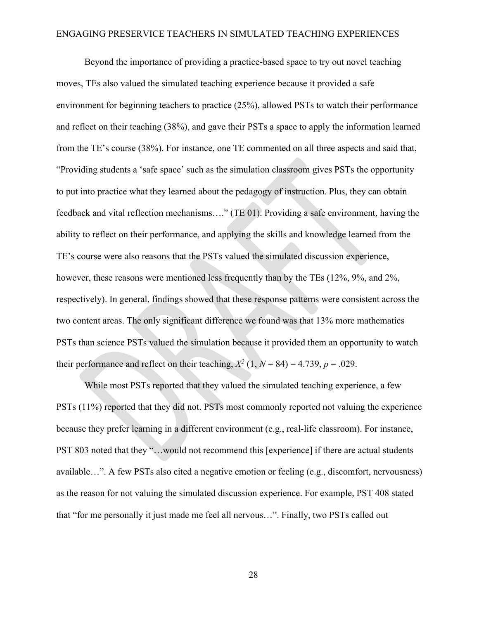Beyond the importance of providing a practice-based space to try out novel teaching moves, TEs also valued the simulated teaching experience because it provided a safe environment for beginning teachers to practice (25%), allowed PSTs to watch their performance and reflect on their teaching (38%), and gave their PSTs a space to apply the information learned from the TE's course (38%). For instance, one TE commented on all three aspects and said that, "Providing students a 'safe space' such as the simulation classroom gives PSTs the opportunity to put into practice what they learned about the pedagogy of instruction. Plus, they can obtain feedback and vital reflection mechanisms…." (TE 01). Providing a safe environment, having the ability to reflect on their performance, and applying the skills and knowledge learned from the TE's course were also reasons that the PSTs valued the simulated discussion experience, however, these reasons were mentioned less frequently than by the TEs (12%, 9%, and 2%, respectively). In general, findings showed that these response patterns were consistent across the two content areas. The only significant difference we found was that 13% more mathematics PSTs than science PSTs valued the simulation because it provided them an opportunity to watch their performance and reflect on their teaching,  $X^2$  (1,  $N = 84$ ) = 4.739,  $p = .029$ .

While most PSTs reported that they valued the simulated teaching experience, a few PSTs (11%) reported that they did not. PSTs most commonly reported not valuing the experience because they prefer learning in a different environment (e.g., real-life classroom). For instance, PST 803 noted that they "…would not recommend this [experience] if there are actual students available…". A few PSTs also cited a negative emotion or feeling (e.g., discomfort, nervousness) as the reason for not valuing the simulated discussion experience. For example, PST 408 stated that "for me personally it just made me feel all nervous…". Finally, two PSTs called out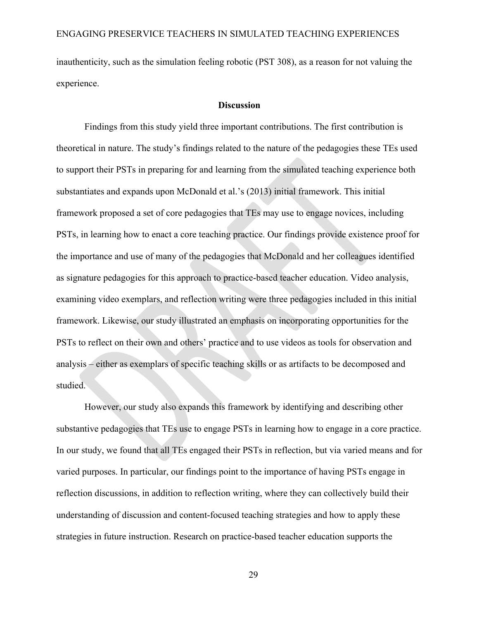inauthenticity, such as the simulation feeling robotic (PST 308), as a reason for not valuing the experience.

#### **Discussion**

Findings from this study yield three important contributions. The first contribution is theoretical in nature. The study's findings related to the nature of the pedagogies these TEs used to support their PSTs in preparing for and learning from the simulated teaching experience both substantiates and expands upon McDonald et al.'s (2013) initial framework. This initial framework proposed a set of core pedagogies that TEs may use to engage novices, including PSTs, in learning how to enact a core teaching practice. Our findings provide existence proof for the importance and use of many of the pedagogies that McDonald and her colleagues identified as signature pedagogies for this approach to practice-based teacher education. Video analysis, examining video exemplars, and reflection writing were three pedagogies included in this initial framework. Likewise, our study illustrated an emphasis on incorporating opportunities for the PSTs to reflect on their own and others' practice and to use videos as tools for observation and analysis – either as exemplars of specific teaching skills or as artifacts to be decomposed and studied.

However, our study also expands this framework by identifying and describing other substantive pedagogies that TEs use to engage PSTs in learning how to engage in a core practice. In our study, we found that all TEs engaged their PSTs in reflection, but via varied means and for varied purposes. In particular, our findings point to the importance of having PSTs engage in reflection discussions, in addition to reflection writing, where they can collectively build their understanding of discussion and content-focused teaching strategies and how to apply these strategies in future instruction. Research on practice-based teacher education supports the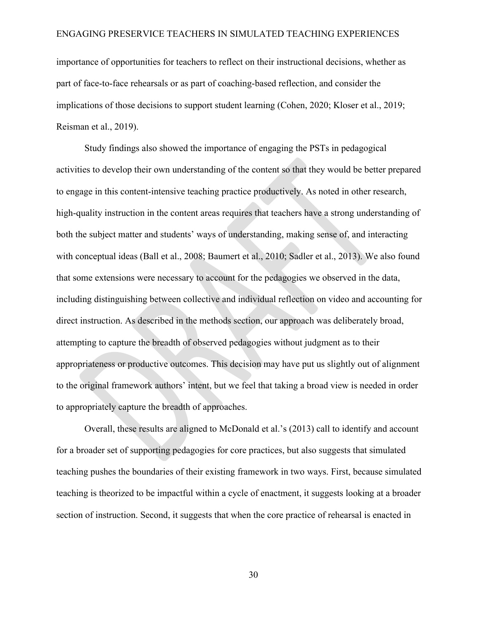importance of opportunities for teachers to reflect on their instructional decisions, whether as part of face-to-face rehearsals or as part of coaching-based reflection, and consider the implications of those decisions to support student learning (Cohen, 2020; Kloser et al., 2019; Reisman et al., 2019).

Study findings also showed the importance of engaging the PSTs in pedagogical activities to develop their own understanding of the content so that they would be better prepared to engage in this content-intensive teaching practice productively. As noted in other research, high-quality instruction in the content areas requires that teachers have a strong understanding of both the subject matter and students' ways of understanding, making sense of, and interacting with conceptual ideas (Ball et al., 2008; Baumert et al., 2010; Sadler et al., 2013). We also found that some extensions were necessary to account for the pedagogies we observed in the data, including distinguishing between collective and individual reflection on video and accounting for direct instruction. As described in the methods section, our approach was deliberately broad, attempting to capture the breadth of observed pedagogies without judgment as to their appropriateness or productive outcomes. This decision may have put us slightly out of alignment to the original framework authors' intent, but we feel that taking a broad view is needed in order to appropriately capture the breadth of approaches.

Overall, these results are aligned to McDonald et al.'s (2013) call to identify and account for a broader set of supporting pedagogies for core practices, but also suggests that simulated teaching pushes the boundaries of their existing framework in two ways. First, because simulated teaching is theorized to be impactful within a cycle of enactment, it suggests looking at a broader section of instruction. Second, it suggests that when the core practice of rehearsal is enacted in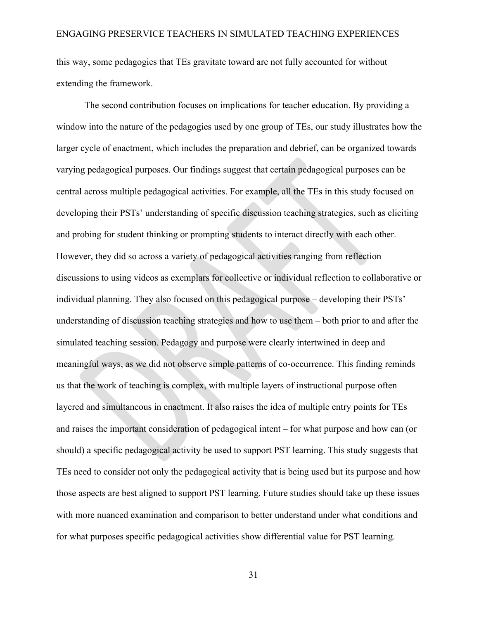this way, some pedagogies that TEs gravitate toward are not fully accounted for without extending the framework.

The second contribution focuses on implications for teacher education. By providing a window into the nature of the pedagogies used by one group of TEs, our study illustrates how the larger cycle of enactment, which includes the preparation and debrief, can be organized towards varying pedagogical purposes. Our findings suggest that certain pedagogical purposes can be central across multiple pedagogical activities. For example, all the TEs in this study focused on developing their PSTs' understanding of specific discussion teaching strategies, such as eliciting and probing for student thinking or prompting students to interact directly with each other. However, they did so across a variety of pedagogical activities ranging from reflection discussions to using videos as exemplars for collective or individual reflection to collaborative or individual planning. They also focused on this pedagogical purpose – developing their PSTs' understanding of discussion teaching strategies and how to use them – both prior to and after the simulated teaching session. Pedagogy and purpose were clearly intertwined in deep and meaningful ways, as we did not observe simple patterns of co-occurrence. This finding reminds us that the work of teaching is complex, with multiple layers of instructional purpose often layered and simultaneous in enactment. It also raises the idea of multiple entry points for TEs and raises the important consideration of pedagogical intent – for what purpose and how can (or should) a specific pedagogical activity be used to support PST learning. This study suggests that TEs need to consider not only the pedagogical activity that is being used but its purpose and how those aspects are best aligned to support PST learning. Future studies should take up these issues with more nuanced examination and comparison to better understand under what conditions and for what purposes specific pedagogical activities show differential value for PST learning.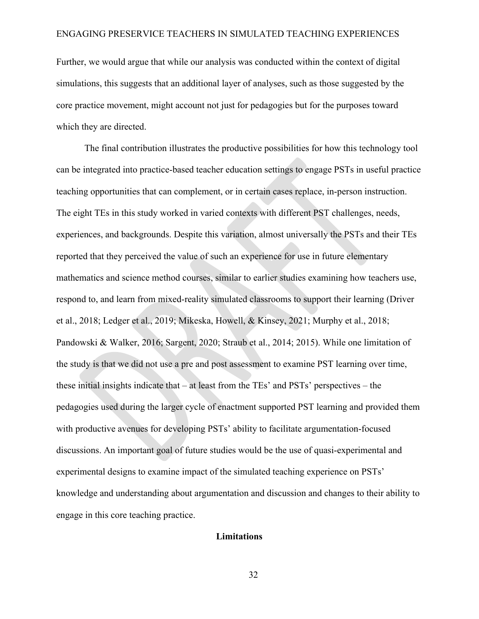Further, we would argue that while our analysis was conducted within the context of digital simulations, this suggests that an additional layer of analyses, such as those suggested by the core practice movement, might account not just for pedagogies but for the purposes toward which they are directed.

The final contribution illustrates the productive possibilities for how this technology tool can be integrated into practice-based teacher education settings to engage PSTs in useful practice teaching opportunities that can complement, or in certain cases replace, in-person instruction. The eight TEs in this study worked in varied contexts with different PST challenges, needs, experiences, and backgrounds. Despite this variation, almost universally the PSTs and their TEs reported that they perceived the value of such an experience for use in future elementary mathematics and science method courses, similar to earlier studies examining how teachers use, respond to, and learn from mixed-reality simulated classrooms to support their learning (Driver et al., 2018; Ledger et al., 2019; Mikeska, Howell, & Kinsey, 2021; Murphy et al., 2018; Pandowski & Walker, 2016; Sargent, 2020; Straub et al., 2014; 2015). While one limitation of the study is that we did not use a pre and post assessment to examine PST learning over time, these initial insights indicate that – at least from the TEs' and PSTs' perspectives – the pedagogies used during the larger cycle of enactment supported PST learning and provided them with productive avenues for developing PSTs' ability to facilitate argumentation-focused discussions. An important goal of future studies would be the use of quasi-experimental and experimental designs to examine impact of the simulated teaching experience on PSTs' knowledge and understanding about argumentation and discussion and changes to their ability to engage in this core teaching practice.

#### **Limitations**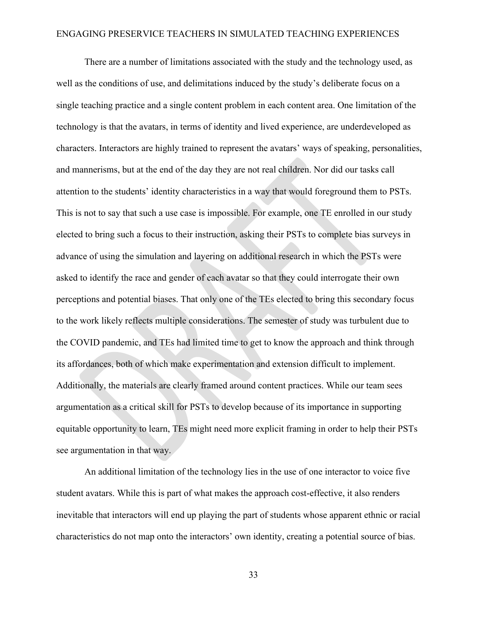There are a number of limitations associated with the study and the technology used, as well as the conditions of use, and delimitations induced by the study's deliberate focus on a single teaching practice and a single content problem in each content area. One limitation of the technology is that the avatars, in terms of identity and lived experience, are underdeveloped as characters. Interactors are highly trained to represent the avatars' ways of speaking, personalities, and mannerisms, but at the end of the day they are not real children. Nor did our tasks call attention to the students' identity characteristics in a way that would foreground them to PSTs. This is not to say that such a use case is impossible. For example, one TE enrolled in our study elected to bring such a focus to their instruction, asking their PSTs to complete bias surveys in advance of using the simulation and layering on additional research in which the PSTs were asked to identify the race and gender of each avatar so that they could interrogate their own perceptions and potential biases. That only one of the TEs elected to bring this secondary focus to the work likely reflects multiple considerations. The semester of study was turbulent due to the COVID pandemic, and TEs had limited time to get to know the approach and think through its affordances, both of which make experimentation and extension difficult to implement. Additionally, the materials are clearly framed around content practices. While our team sees argumentation as a critical skill for PSTs to develop because of its importance in supporting equitable opportunity to learn, TEs might need more explicit framing in order to help their PSTs see argumentation in that way.

An additional limitation of the technology lies in the use of one interactor to voice five student avatars. While this is part of what makes the approach cost-effective, it also renders inevitable that interactors will end up playing the part of students whose apparent ethnic or racial characteristics do not map onto the interactors' own identity, creating a potential source of bias.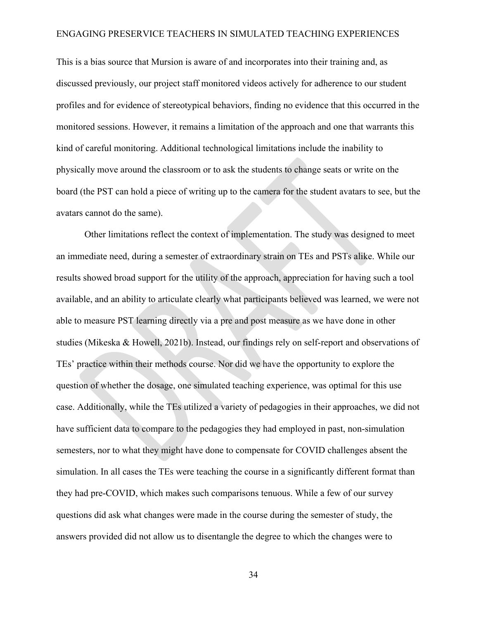This is a bias source that Mursion is aware of and incorporates into their training and, as discussed previously, our project staff monitored videos actively for adherence to our student profiles and for evidence of stereotypical behaviors, finding no evidence that this occurred in the monitored sessions. However, it remains a limitation of the approach and one that warrants this kind of careful monitoring. Additional technological limitations include the inability to physically move around the classroom or to ask the students to change seats or write on the board (the PST can hold a piece of writing up to the camera for the student avatars to see, but the avatars cannot do the same).

Other limitations reflect the context of implementation. The study was designed to meet an immediate need, during a semester of extraordinary strain on TEs and PSTs alike. While our results showed broad support for the utility of the approach, appreciation for having such a tool available, and an ability to articulate clearly what participants believed was learned, we were not able to measure PST learning directly via a pre and post measure as we have done in other studies (Mikeska & Howell, 2021b). Instead, our findings rely on self-report and observations of TEs' practice within their methods course. Nor did we have the opportunity to explore the question of whether the dosage, one simulated teaching experience, was optimal for this use case. Additionally, while the TEs utilized a variety of pedagogies in their approaches, we did not have sufficient data to compare to the pedagogies they had employed in past, non-simulation semesters, nor to what they might have done to compensate for COVID challenges absent the simulation. In all cases the TEs were teaching the course in a significantly different format than they had pre-COVID, which makes such comparisons tenuous. While a few of our survey questions did ask what changes were made in the course during the semester of study, the answers provided did not allow us to disentangle the degree to which the changes were to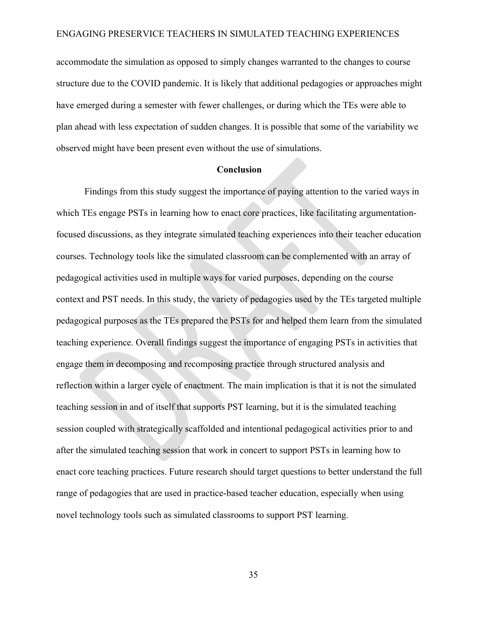accommodate the simulation as opposed to simply changes warranted to the changes to course structure due to the COVID pandemic. It is likely that additional pedagogies or approaches might have emerged during a semester with fewer challenges, or during which the TEs were able to plan ahead with less expectation of sudden changes. It is possible that some of the variability we observed might have been present even without the use of simulations.

#### **Conclusion**

Findings from this study suggest the importance of paying attention to the varied ways in which TEs engage PSTs in learning how to enact core practices, like facilitating argumentationfocused discussions, as they integrate simulated teaching experiences into their teacher education courses. Technology tools like the simulated classroom can be complemented with an array of pedagogical activities used in multiple ways for varied purposes, depending on the course context and PST needs. In this study, the variety of pedagogies used by the TEs targeted multiple pedagogical purposes as the TEs prepared the PSTs for and helped them learn from the simulated teaching experience. Overall findings suggest the importance of engaging PSTs in activities that engage them in decomposing and recomposing practice through structured analysis and reflection within a larger cycle of enactment. The main implication is that it is not the simulated teaching session in and of itself that supports PST learning, but it is the simulated teaching session coupled with strategically scaffolded and intentional pedagogical activities prior to and after the simulated teaching session that work in concert to support PSTs in learning how to enact core teaching practices. Future research should target questions to better understand the full range of pedagogies that are used in practice-based teacher education, especially when using novel technology tools such as simulated classrooms to support PST learning.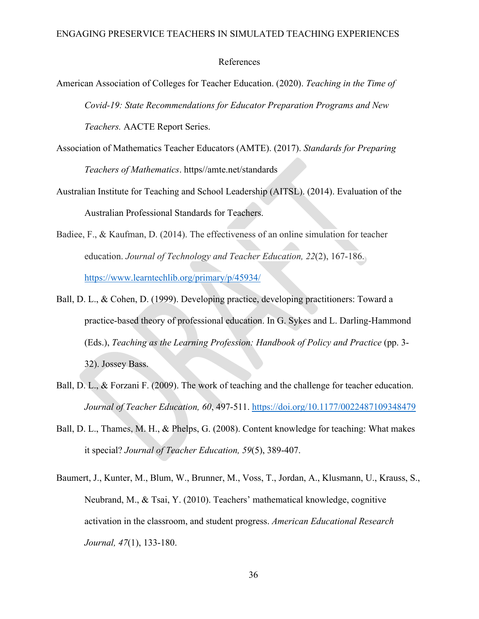#### References

- American Association of Colleges for Teacher Education. (2020). *Teaching in the Time of Covid-19: State Recommendations for Educator Preparation Programs and New Teachers.* AACTE Report Series.
- Association of Mathematics Teacher Educators (AMTE). (2017). *Standards for Preparing Teachers of Mathematics*. https//amte.net/standards
- Australian Institute for Teaching and School Leadership (AITSL). (2014). Evaluation of the Australian Professional Standards for Teachers.
- Badiee, F., & Kaufman, D. (2014). The effectiveness of an online simulation for teacher education. *Journal of Technology and Teacher Education, 22*(2), 167-186. <https://www.learntechlib.org/primary/p/45934/>
- Ball, D. L., & Cohen, D. (1999). Developing practice, developing practitioners: Toward a practice-based theory of professional education. In G. Sykes and L. Darling-Hammond (Eds.), *Teaching as the Learning Profession: Handbook of Policy and Practice* (pp. 3- 32). Jossey Bass.
- Ball, D. L., & Forzani F. (2009). The work of teaching and the challenge for teacher education. *Journal of Teacher Education, 60*, 497-511. <https://doi.org/10.1177/0022487109348479>
- Ball, D. L., Thames, M. H., & Phelps, G. (2008). Content knowledge for teaching: What makes it special? *Journal of Teacher Education, 59*(5), 389-407.
- Baumert, J., Kunter, M., Blum, W., Brunner, M., Voss, T., Jordan, A., Klusmann, U., Krauss, S., Neubrand, M., & Tsai, Y. (2010). Teachers' mathematical knowledge, cognitive activation in the classroom, and student progress. *American Educational Research Journal, 47*(1), 133-180.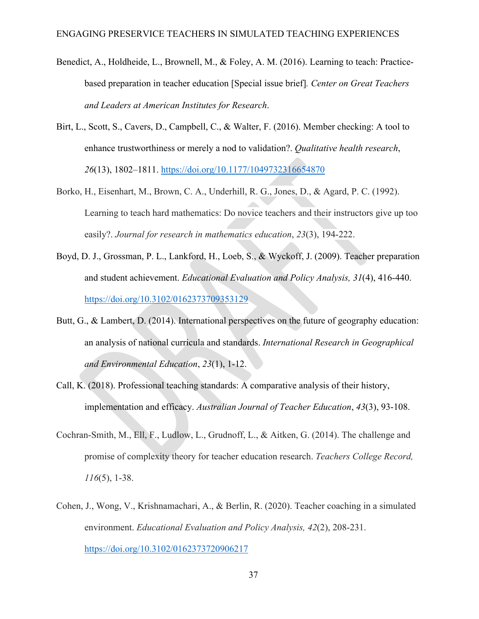- Benedict, A., Holdheide, L., Brownell, M., & Foley, A. M. (2016). Learning to teach: Practicebased preparation in teacher education [Special issue brief]*. Center on Great Teachers and Leaders at American Institutes for Research*.
- Birt, L., Scott, S., Cavers, D., Campbell, C., & Walter, F. (2016). Member checking: A tool to enhance trustworthiness or merely a nod to validation?. *Qualitative health research*, *26*(13), 1802–1811. <https://doi.org/10.1177/1049732316654870>
- Borko, H., Eisenhart, M., Brown, C. A., Underhill, R. G., Jones, D., & Agard, P. C. (1992). Learning to teach hard mathematics: Do novice teachers and their instructors give up too easily?. *Journal for research in mathematics education*, *23*(3), 194-222.
- Boyd, D. J., Grossman, P. L., Lankford, H., Loeb, S., & Wyckoff, J. (2009). Teacher preparation and student achievement. *Educational Evaluation and Policy Analysis, 31*(4), 416-440. <https://doi.org/10.3102/0162373709353129>
- Butt, G., & Lambert, D. (2014). International perspectives on the future of geography education: an analysis of national curricula and standards. *International Research in Geographical and Environmental Education*, *23*(1), 1-12.
- Call, K. (2018). Professional teaching standards: A comparative analysis of their history, implementation and efficacy. *Australian Journal of Teacher Education*, *43*(3), 93-108.
- Cochran-Smith, M., Ell, F., Ludlow, L., Grudnoff, L., & Aitken, G. (2014). The challenge and promise of complexity theory for teacher education research. *Teachers College Record, 116*(5), 1-38.
- Cohen, J., Wong, V., Krishnamachari, A., & Berlin, R. (2020). Teacher coaching in a simulated environment. *Educational Evaluation and Policy Analysis, 42*(2), 208-231. <https://doi.org/10.3102/0162373720906217>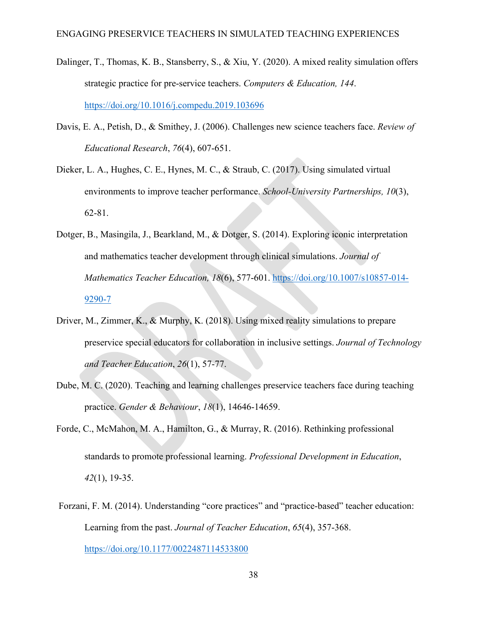- Dalinger, T., Thomas, K. B., Stansberry, S., & Xiu, Y. (2020). A mixed reality simulation offers strategic practice for pre-service teachers. *Computers & Education, 144*. [https://doi.org/10.1016/j.compedu.2019.103696](https://doi.org/https:/doi.org/10.1016/j.compedu.2019.103696)
- Davis, E. A., Petish, D., & Smithey, J. (2006). Challenges new science teachers face. *Review of Educational Research*, *76*(4), 607-651.
- Dieker, L. A., Hughes, C. E., Hynes, M. C., & Straub, C. (2017). Using simulated virtual environments to improve teacher performance. *School-University Partnerships, 10*(3), 62-81.
- Dotger, B., Masingila, J., Bearkland, M., & Dotger, S. (2014). Exploring iconic interpretation and mathematics teacher development through clinical simulations. *Journal of Mathematics Teacher Education, 18*(6), 577-601. [https://doi.org/10.1007/s10857-014-](https://doi.org/10.1007/s10857-014-9290-7) [9290-7](https://doi.org/10.1007/s10857-014-9290-7)
- Driver, M., Zimmer, K., & Murphy, K. (2018). Using mixed reality simulations to prepare preservice special educators for collaboration in inclusive settings. *Journal of Technology and Teacher Education*, *26*(1), 57-77.
- Dube, M. C. (2020). Teaching and learning challenges preservice teachers face during teaching practice. *Gender & Behaviour*, *18*(1), 14646-14659.
- Forde, C., McMahon, M. A., Hamilton, G., & Murray, R. (2016). Rethinking professional standards to promote professional learning. *Professional Development in Education*, *42*(1), 19-35.
- Forzani, F. M. (2014). Understanding "core practices" and "practice-based" teacher education: Learning from the past. *Journal of Teacher Education*, *65*(4), 357-368. <https://doi.org/10.1177/0022487114533800>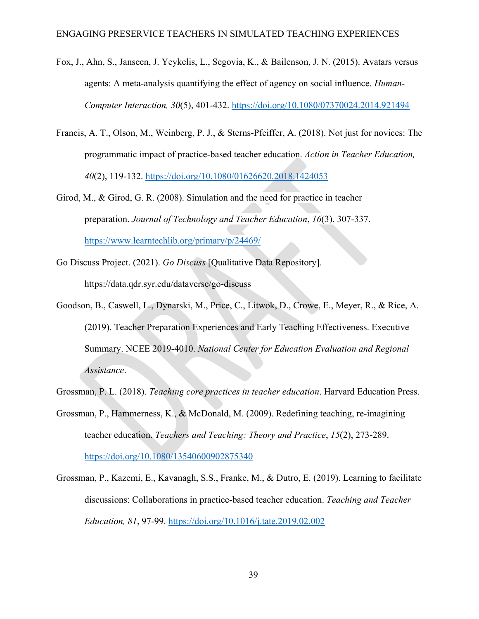- Fox, J., Ahn, S., Janseen, J. Yeykelis, L., Segovia, K., & Bailenson, J. N. (2015). Avatars versus agents: A meta-analysis quantifying the effect of agency on social influence. *Human-Computer Interaction, 30*(5), 401-432.<https://doi.org/10.1080/07370024.2014.921494>
- Francis, A. T., Olson, M., Weinberg, P. J., & Sterns-Pfeiffer, A. (2018). Not just for novices: The programmatic impact of practice-based teacher education. *Action in Teacher Education, 40*(2), 119-132.<https://doi.org/10.1080/01626620.2018.1424053>
- Girod, M., & Girod, G. R. (2008). Simulation and the need for practice in teacher preparation. *Journal of Technology and Teacher Education*, *16*(3), 307-337. <https://www.learntechlib.org/primary/p/24469/>
- Go Discuss Project. (2021). *Go Discuss* [Qualitative Data Repository].

https://data.qdr.syr.edu/dataverse/go-discuss

Goodson, B., Caswell, L., Dynarski, M., Price, C., Litwok, D., Crowe, E., Meyer, R., & Rice, A. (2019). Teacher Preparation Experiences and Early Teaching Effectiveness. Executive Summary. NCEE 2019-4010. *National Center for Education Evaluation and Regional Assistance*.

Grossman, P. L. (2018). *Teaching core practices in teacher education*. Harvard Education Press.

- Grossman, P., Hammerness, K., & McDonald, M. (2009). Redefining teaching, re-imagining teacher education. *Teachers and Teaching: Theory and Practice*, *15*(2), 273-289. <https://doi.org/10.1080/13540600902875340>
- Grossman, P., Kazemi, E., Kavanagh, S.S., Franke, M., & Dutro, E. (2019). Learning to facilitate discussions: Collaborations in practice-based teacher education. *Teaching and Teacher Education, 81*, 97-99.<https://doi.org/10.1016/j.tate.2019.02.002>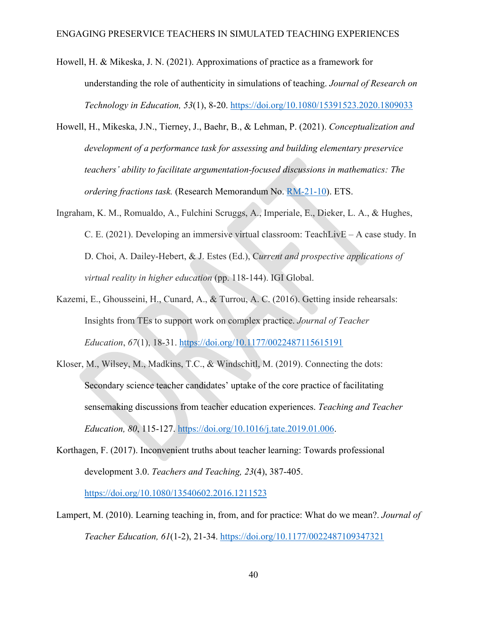- Howell, H. & Mikeska, J. N. (2021). Approximations of practice as a framework for understanding the role of authenticity in simulations of teaching. *Journal of Research on Technology in Education, 53*(1), 8-20.<https://doi.org/10.1080/15391523.2020.1809033>
- Howell, H., Mikeska, J.N., Tierney, J., Baehr, B., & Lehman, P. (2021). *Conceptualization and development of a performance task for assessing and building elementary preservice teachers' ability to facilitate argumentation-focused discussions in mathematics: The ordering fractions task.* (Research Memorandum No. [RM-21-10\)](https://www.ets.org/Media/Research/pdf/RM-21-10.pdf). ETS.
- Ingraham, K. M., Romualdo, A., Fulchini Scruggs, A., Imperiale, E., Dieker, L. A., & Hughes, C. E. (2021). Developing an immersive virtual classroom: TeachLivE – A case study. In D. Choi, A. Dailey-Hebert, & J. Estes (Ed.), C*urrent and prospective applications of virtual reality in higher education* (pp. 118-144). IGI Global.
- Kazemi, E., Ghousseini, H., Cunard, A., & Turrou, A. C. (2016). Getting inside rehearsals: Insights from TEs to support work on complex practice. *Journal of Teacher Education*, *67*(1), 18-31. <https://doi.org/10.1177/0022487115615191>
- Kloser, M., Wilsey, M., Madkins, T.C., & Windschitl, M. (2019). Connecting the dots: Secondary science teacher candidates' uptake of the core practice of facilitating sensemaking discussions from teacher education experiences. *Teaching and Teacher Education, 80*, 115-127. [https://doi.org/10.1016/j.tate.2019.01.006.](https://doi.org/10.1016/j.tate.2019.01.006)
- Korthagen, F. (2017). Inconvenient truths about teacher learning: Towards professional development 3.0. *Teachers and Teaching, 23*(4), 387-405.

<https://doi.org/10.1080/13540602.2016.1211523>

Lampert, M. (2010). Learning teaching in, from, and for practice: What do we mean?. *Journal of Teacher Education, 61*(1-2), 21-34.<https://doi.org/10.1177/0022487109347321>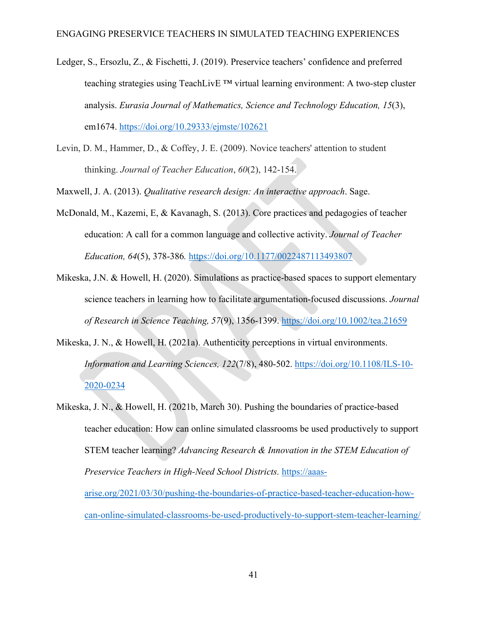- Ledger, S., Ersozlu, Z., & Fischetti, J. (2019). Preservice teachers' confidence and preferred teaching strategies using TeachLivE ™ virtual learning environment: A two-step cluster analysis. *Eurasia Journal of Mathematics, Science and Technology Education, 15*(3), em1674.<https://doi.org/10.29333/ejmste/102621>
- Levin, D. M., Hammer, D., & Coffey, J. E. (2009). Novice teachers' attention to student thinking. *Journal of Teacher Education*, *60*(2), 142-154.

Maxwell, J. A. (2013). *Qualitative research design: An interactive approach*. Sage.

- McDonald, M., Kazemi, E, & Kavanagh, S. (2013). Core practices and pedagogies of teacher education: A call for a common language and collective activity. *Journal of Teacher Education, 64*(5), 378-386*.* <https://doi.org/10.1177/0022487113493807>
- Mikeska, J.N. & Howell, H. (2020). Simulations as practice-based spaces to support elementary science teachers in learning how to facilitate argumentation-focused discussions. *Journal of Research in Science Teaching, 57*(9), 1356-1399. <https://doi.org/10.1002/tea.21659>
- Mikeska, J. N., & Howell, H. (2021a). Authenticity perceptions in virtual environments. *Information and Learning Sciences, 122*(7/8), 480-502. [https://doi.org/10.1108/ILS-10-](https://doi.org/10.1108/ILS-10-2020-0234) [2020-0234](https://doi.org/10.1108/ILS-10-2020-0234)
- Mikeska, J. N., & Howell, H. (2021b, March 30). Pushing the boundaries of practice-based teacher education: How can online simulated classrooms be used productively to support STEM teacher learning? *Advancing Research & Innovation in the STEM Education of Preservice Teachers in High-Need School Districts.* [https://aaas](https://aaas-arise.org/2021/03/30/pushing-the-boundaries-of-practice-based-teacher-education-how-can-online-simulated-classrooms-be-used-productively-to-support-stem-teacher-learning/)[arise.org/2021/03/30/pushing-the-boundaries-of-practice-based-teacher-education-how](https://aaas-arise.org/2021/03/30/pushing-the-boundaries-of-practice-based-teacher-education-how-can-online-simulated-classrooms-be-used-productively-to-support-stem-teacher-learning/)[can-online-simulated-classrooms-be-used-productively-to-support-stem-teacher-learning/](https://aaas-arise.org/2021/03/30/pushing-the-boundaries-of-practice-based-teacher-education-how-can-online-simulated-classrooms-be-used-productively-to-support-stem-teacher-learning/)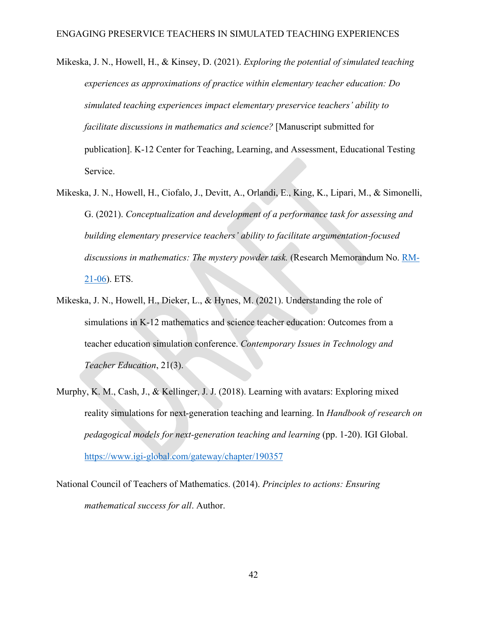Mikeska, J. N., Howell, H., & Kinsey, D. (2021). *Exploring the potential of simulated teaching experiences as approximations of practice within elementary teacher education: Do simulated teaching experiences impact elementary preservice teachers' ability to facilitate discussions in mathematics and science?* [Manuscript submitted for publication]. K-12 Center for Teaching, Learning, and Assessment, Educational Testing Service.

- Mikeska, J. N., Howell, H., Ciofalo, J., Devitt, A., Orlandi, E., King, K., Lipari, M., & Simonelli, G. (2021). *Conceptualization and development of a performance task for assessing and building elementary preservice teachers' ability to facilitate argumentation-focused discussions in mathematics: The mystery powder task.* (Research Memorandum No. [RM-](https://www.ets.org/Media/Research/pdf/RM-21-06.pdf)[21-06\)](https://www.ets.org/Media/Research/pdf/RM-21-06.pdf). ETS.
- Mikeska, J. N., Howell, H., Dieker, L., & Hynes, M. (2021). Understanding the role of simulations in K-12 mathematics and science teacher education: Outcomes from a teacher education simulation conference. *Contemporary Issues in Technology and Teacher Education*, 21(3).
- Murphy, K. M., Cash, J., & Kellinger, J. J. (2018). Learning with avatars: Exploring mixed reality simulations for next-generation teaching and learning. In *Handbook of research on pedagogical models for next-generation teaching and learning* (pp. 1-20). IGI Global. <https://www.igi-global.com/gateway/chapter/190357>

National Council of Teachers of Mathematics. (2014). *Principles to actions: Ensuring mathematical success for all*. Author.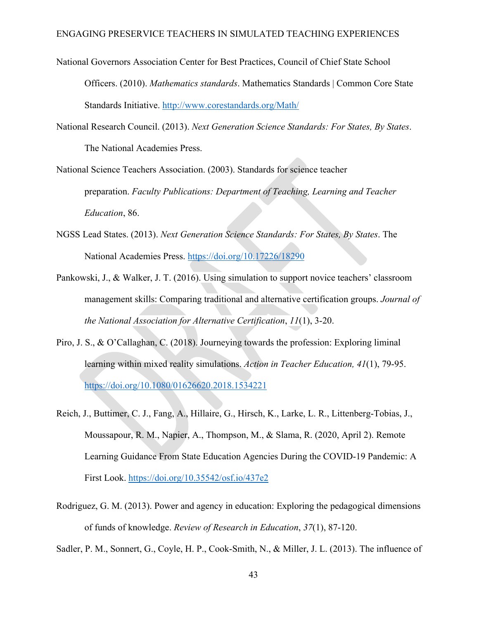- National Governors Association Center for Best Practices, Council of Chief State School Officers. (2010). *Mathematics standards*. Mathematics Standards | Common Core State Standards Initiative.<http://www.corestandards.org/Math/>
- National Research Council. (2013). *Next Generation Science Standards: For States, By States*. The National Academies Press.

National Science Teachers Association. (2003). Standards for science teacher preparation. *Faculty Publications: Department of Teaching, Learning and Teacher Education*, 86.

- NGSS Lead States. (2013). *Next Generation Science Standards: For States, By States*. The National Academies Press. <https://doi.org/10.17226/18290>
- Pankowski, J., & Walker, J. T. (2016). Using simulation to support novice teachers' classroom management skills: Comparing traditional and alternative certification groups. *Journal of the National Association for Alternative Certification*, *11*(1), 3-20.
- Piro, J. S., & O'Callaghan, C. (2018). Journeying towards the profession: Exploring liminal learning within mixed reality simulations. *Action in Teacher Education, 41*(1), 79-95. <https://doi.org/10.1080/01626620.2018.1534221>
- Reich, J., Buttimer, C. J., Fang, A., Hillaire, G., Hirsch, K., Larke, L. R., Littenberg-Tobias, J., Moussapour, R. M., Napier, A., Thompson, M., & Slama, R. (2020, April 2). Remote Learning Guidance From State Education Agencies During the COVID-19 Pandemic: A First Look.<https://doi.org/10.35542/osf.io/437e2>
- Rodriguez, G. M. (2013). Power and agency in education: Exploring the pedagogical dimensions of funds of knowledge. *Review of Research in Education*, *37*(1), 87-120.

Sadler, P. M., Sonnert, G., Coyle, H. P., Cook-Smith, N., & Miller, J. L. (2013). The influence of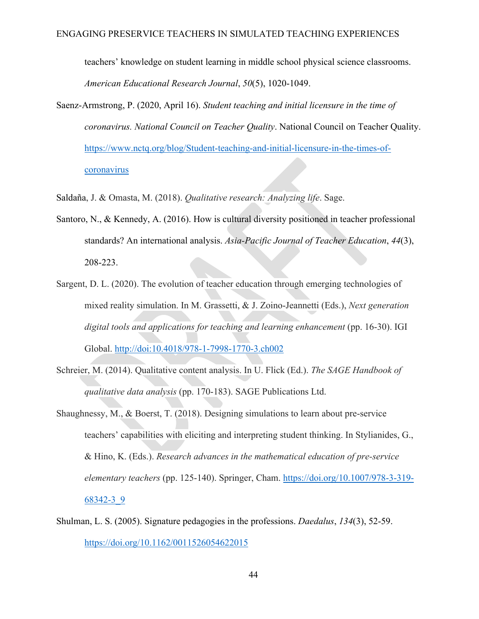teachers' knowledge on student learning in middle school physical science classrooms. *American Educational Research Journal*, *50*(5), 1020-1049.

- Saenz-Armstrong, P. (2020, April 16). *Student teaching and initial licensure in the time of coronavirus. National Council on Teacher Quality*. National Council on Teacher Quality. [https://www.nctq.org/blog/Student-teaching-and-initial-licensure-in-the-times-of](https://www.nctq.org/blog/Student-teaching-and-initial-licensure-in-the-times-of-coronavirus)[coronavirus](https://www.nctq.org/blog/Student-teaching-and-initial-licensure-in-the-times-of-coronavirus)
- Saldaña, J. & Omasta, M. (2018). *Qualitative research: Analyzing life*. Sage.
- Santoro, N., & Kennedy, A. (2016). How is cultural diversity positioned in teacher professional standards? An international analysis. *Asia-Pacific Journal of Teacher Education*, *44*(3), 208-223.
- Sargent, D. L. (2020). The evolution of teacher education through emerging technologies of mixed reality simulation. In M. Grassetti, & J. Zoino-Jeannetti (Eds.), *Next generation digital tools and applications for teaching and learning enhancement* (pp. 16-30). IGI Global. http://doi:10.4018/978-1-7998-1770-3.ch002
- Schreier, M. (2014). Qualitative content analysis. In U. Flick (Ed.). *The SAGE Handbook of qualitative data analysis* (pp. 170-183). SAGE Publications Ltd.
- Shaughnessy, M., & Boerst, T. (2018). Designing simulations to learn about pre-service teachers' capabilities with eliciting and interpreting student thinking. In Stylianides, G., & Hino, K. (Eds.). *Research advances in the mathematical education of pre-service elementary teachers* (pp. 125-140). Springer, Cham. [https://doi.org/10.1007/978-3-319-](https://doi.org/10.1007/978-3-319-68342-3_9) [68342-3\\_9](https://doi.org/10.1007/978-3-319-68342-3_9)
- Shulman, L. S. (2005). Signature pedagogies in the professions. *Daedalus*, *134*(3), 52-59. <https://doi.org/10.1162/0011526054622015>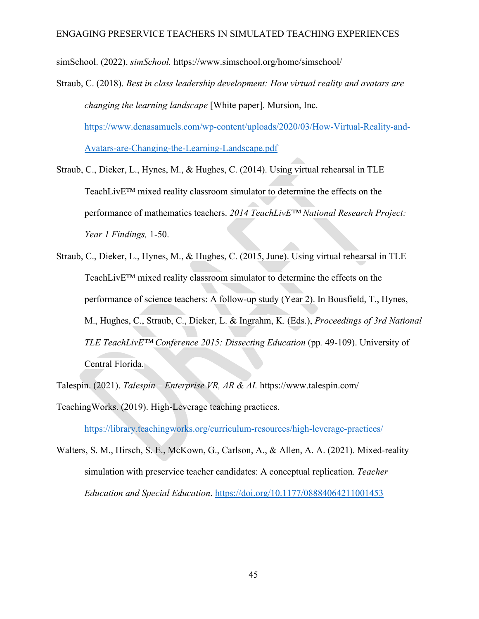simSchool. (2022). *simSchool.* https://www.simschool.org/home/simschool/

- Straub, C. (2018). *Best in class leadership development: How virtual reality and avatars are changing the learning landscape* [White paper]. Mursion, Inc. [https://www.denasamuels.com/wp-content/uploads/2020/03/How-Virtual-Reality-and-](https://www.denasamuels.com/wp-content/uploads/2020/03/How-Virtual-Reality-and-Avatars-are-Changing-the-Learning-Landscape.pdf)[Avatars-are-Changing-the-Learning-Landscape.pdf](https://www.denasamuels.com/wp-content/uploads/2020/03/How-Virtual-Reality-and-Avatars-are-Changing-the-Learning-Landscape.pdf)
- Straub, C., Dieker, L., Hynes, M., & Hughes, C. (2014). Using virtual rehearsal in TLE TeachLivE™ mixed reality classroom simulator to determine the effects on the performance of mathematics teachers. *2014 TeachLivE™ National Research Project: Year 1 Findings,* 1-50.
- Straub, C., Dieker, L., Hynes, M., & Hughes, C. (2015, June). Using virtual rehearsal in TLE TeachLivE™ mixed reality classroom simulator to determine the effects on the performance of science teachers: A follow-up study (Year 2). In Bousfield, T., Hynes, M., Hughes, C., Straub, C., Dieker, L. & Ingrahm, K. (Eds.), *Proceedings of 3rd National TLE TeachLivE™ Conference 2015: Dissecting Education* (pp*.* 49-109). University of Central Florida.
- Talespin. (2021). *Talespin – Enterprise VR, AR & AI.* https://www.talespin.com/
- TeachingWorks. (2019). High-Leverage teaching practices.

<https://library.teachingworks.org/curriculum-resources/high-leverage-practices/>

Walters, S. M., Hirsch, S. E., McKown, G., Carlson, A., & Allen, A. A. (2021). Mixed-reality simulation with preservice teacher candidates: A conceptual replication. *Teacher Education and Special Education*.<https://doi.org/10.1177/08884064211001453>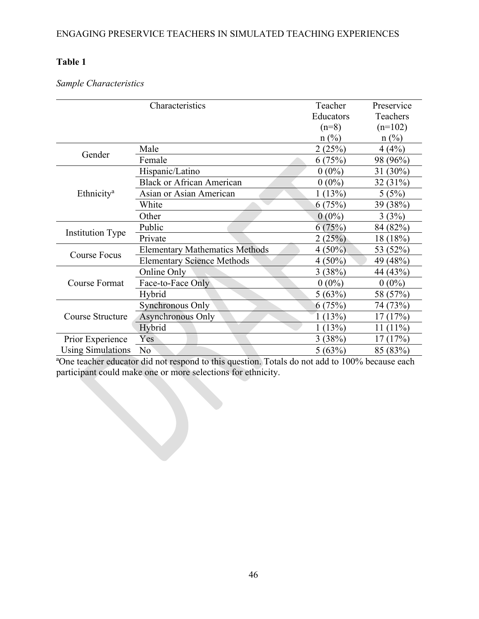# **Table 1**

# *Sample Characteristics*

|                          | Characteristics                       | Teacher   | Preservice     |
|--------------------------|---------------------------------------|-----------|----------------|
|                          |                                       | Educators | Teachers       |
|                          |                                       | $(n=8)$   | $(n=102)$      |
|                          |                                       | $n$ (%)   | $n$ (%)        |
| Gender                   | Male                                  | 2(25%)    | 4(4%)          |
|                          | Female                                | 6(75%)    | 98 (96%)       |
|                          | Hispanic/Latino                       | $0(0\%)$  | 31 $(30\%)$    |
|                          | <b>Black or African American</b>      | $0(0\%)$  | 32 (31%)       |
| Ethnicity <sup>a</sup>   | Asian or Asian American               | 1(13%)    | 5(5%)          |
|                          | White                                 | 6(75%)    | 39 (38%)       |
|                          | Other                                 | $0(0\%)$  | 3(3%)          |
|                          | Public                                | 6(75%)    | 84 (82%)       |
| <b>Institution Type</b>  | Private                               | 2(25%)    | 18 (18%)       |
|                          | <b>Elementary Mathematics Methods</b> | $4(50\%)$ | 53 (52%)       |
| <b>Course Focus</b>      | <b>Elementary Science Methods</b>     | $4(50\%)$ | 49 (48%)       |
|                          | Online Only                           | 3(38%)    | 44 (43%)       |
| <b>Course Format</b>     | Face-to-Face Only                     | $0(0\%)$  | $0(0\%)$       |
|                          | Hybrid                                | 5(63%)    | 58 (57%)       |
|                          | Synchronous Only                      | 6(75%)    | 74 (73%)       |
| Course Structure         | Asynchronous Only                     | (13%)     | (17%)<br>17    |
|                          | Hybrid                                | (13%)     | $(11\%)$<br>11 |
| Prior Experience         | Yes                                   | 3(38%)    | (17%)<br>17    |
| <b>Using Simulations</b> | N <sub>o</sub>                        | 5(63%)    | 85 (83%)       |

<sup>a</sup>One teacher educator did not respond to this question. Totals do not add to 100% because each participant could make one or more selections for ethnicity.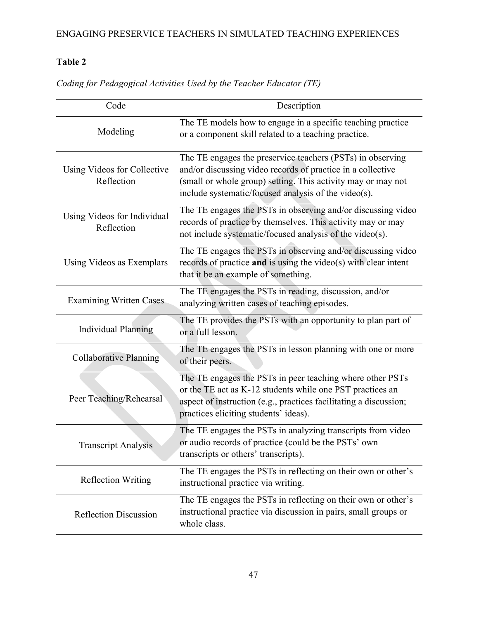# **Table 2**

| Code                                      | Description                                                                                                                                                                                                                                       |
|-------------------------------------------|---------------------------------------------------------------------------------------------------------------------------------------------------------------------------------------------------------------------------------------------------|
| Modeling                                  | The TE models how to engage in a specific teaching practice<br>or a component skill related to a teaching practice.                                                                                                                               |
| Using Videos for Collective<br>Reflection | The TE engages the preservice teachers (PSTs) in observing<br>and/or discussing video records of practice in a collective<br>(small or whole group) setting. This activity may or may not<br>include systematic/focused analysis of the video(s). |
| Using Videos for Individual<br>Reflection | The TE engages the PSTs in observing and/or discussing video<br>records of practice by themselves. This activity may or may<br>not include systematic/focused analysis of the video(s).                                                           |
| Using Videos as Exemplars                 | The TE engages the PSTs in observing and/or discussing video<br>records of practice and is using the video(s) with clear intent<br>that it be an example of something.                                                                            |
| <b>Examining Written Cases</b>            | The TE engages the PSTs in reading, discussion, and/or<br>analyzing written cases of teaching episodes.                                                                                                                                           |
| <b>Individual Planning</b>                | The TE provides the PSTs with an opportunity to plan part of<br>or a full lesson.                                                                                                                                                                 |
| <b>Collaborative Planning</b>             | The TE engages the PSTs in lesson planning with one or more<br>of their peers.                                                                                                                                                                    |
| Peer Teaching/Rehearsal                   | The TE engages the PSTs in peer teaching where other PSTs<br>or the TE act as K-12 students while one PST practices an<br>aspect of instruction (e.g., practices facilitating a discussion;<br>practices eliciting students' ideas).              |
| <b>Transcript Analysis</b>                | The TE engages the PSTs in analyzing transcripts from video<br>or audio records of practice (could be the PSTs' own<br>transcripts or others' transcripts).                                                                                       |
| <b>Reflection Writing</b>                 | The TE engages the PSTs in reflecting on their own or other's<br>instructional practice via writing.                                                                                                                                              |
| <b>Reflection Discussion</b>              | The TE engages the PSTs in reflecting on their own or other's<br>instructional practice via discussion in pairs, small groups or<br>whole class.                                                                                                  |

*Coding for Pedagogical Activities Used by the Teacher Educator (TE)*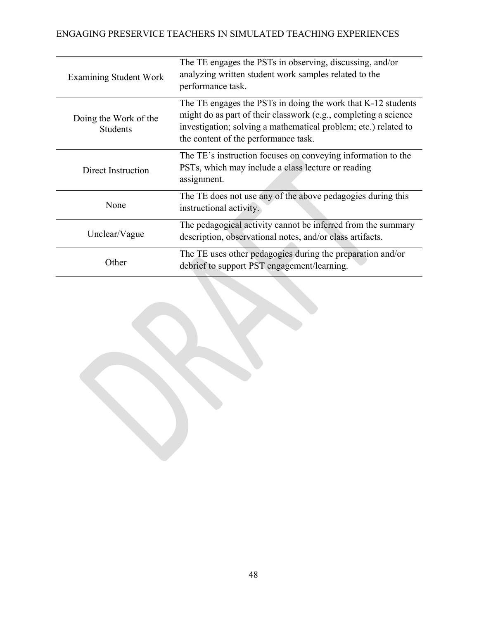| <b>Examining Student Work</b>            | The TE engages the PSTs in observing, discussing, and/or<br>analyzing written student work samples related to the<br>performance task.                                                                                                     |
|------------------------------------------|--------------------------------------------------------------------------------------------------------------------------------------------------------------------------------------------------------------------------------------------|
| Doing the Work of the<br><b>Students</b> | The TE engages the PSTs in doing the work that K-12 students<br>might do as part of their classwork (e.g., completing a science<br>investigation; solving a mathematical problem; etc.) related to<br>the content of the performance task. |
| Direct Instruction                       | The TE's instruction focuses on conveying information to the<br>PSTs, which may include a class lecture or reading<br>assignment.                                                                                                          |
| None                                     | The TE does not use any of the above pedagogies during this<br>instructional activity.                                                                                                                                                     |
| Unclear/Vague                            | The pedagogical activity cannot be inferred from the summary<br>description, observational notes, and/or class artifacts.                                                                                                                  |
| Other                                    | The TE uses other pedagogies during the preparation and/or<br>debrief to support PST engagement/learning.                                                                                                                                  |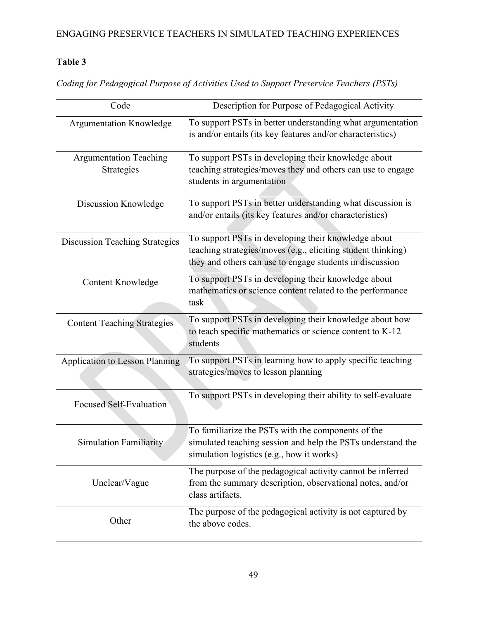# **Table 3**

*Coding for Pedagogical Purpose of Activities Used to Support Preservice Teachers (PSTs)*

| Code                                        | Description for Purpose of Pedagogical Activity                                                                                                                                 |
|---------------------------------------------|---------------------------------------------------------------------------------------------------------------------------------------------------------------------------------|
| <b>Argumentation Knowledge</b>              | To support PSTs in better understanding what argumentation<br>is and/or entails (its key features and/or characteristics)                                                       |
| <b>Argumentation Teaching</b><br>Strategies | To support PSTs in developing their knowledge about<br>teaching strategies/moves they and others can use to engage<br>students in argumentation                                 |
| Discussion Knowledge                        | To support PSTs in better understanding what discussion is<br>and/or entails (its key features and/or characteristics)                                                          |
| <b>Discussion Teaching Strategies</b>       | To support PSTs in developing their knowledge about<br>teaching strategies/moves (e.g., eliciting student thinking)<br>they and others can use to engage students in discussion |
| <b>Content Knowledge</b>                    | To support PSTs in developing their knowledge about<br>mathematics or science content related to the performance<br>task                                                        |
| <b>Content Teaching Strategies</b>          | To support PSTs in developing their knowledge about how<br>to teach specific mathematics or science content to K-12<br>students                                                 |
| <b>Application to Lesson Planning</b>       | To support PSTs in learning how to apply specific teaching<br>strategies/moves to lesson planning                                                                               |
| <b>Focused Self-Evaluation</b>              | To support PSTs in developing their ability to self-evaluate                                                                                                                    |
| <b>Simulation Familiarity</b>               | To familiarize the PSTs with the components of the<br>simulated teaching session and help the PSTs understand the<br>simulation logistics (e.g., how it works)                  |
| Unclear/Vague                               | The purpose of the pedagogical activity cannot be inferred<br>from the summary description, observational notes, and/or<br>class artifacts.                                     |
| Other                                       | The purpose of the pedagogical activity is not captured by<br>the above codes.                                                                                                  |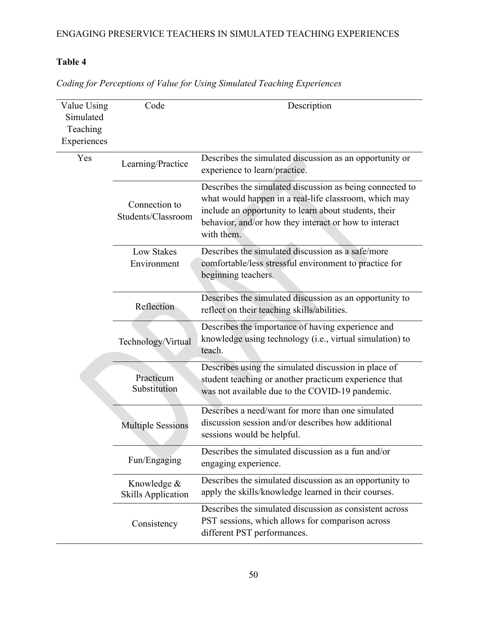# **Table 4**

| Value Using<br>Simulated<br>Teaching<br>Experiences | Code                                     | Description                                                                                                                                                                                                                                       |  |  |  |  |  |  |
|-----------------------------------------------------|------------------------------------------|---------------------------------------------------------------------------------------------------------------------------------------------------------------------------------------------------------------------------------------------------|--|--|--|--|--|--|
| Yes                                                 | Learning/Practice                        | Describes the simulated discussion as an opportunity or<br>experience to learn/practice.                                                                                                                                                          |  |  |  |  |  |  |
|                                                     | Connection to<br>Students/Classroom      | Describes the simulated discussion as being connected to<br>what would happen in a real-life classroom, which may<br>include an opportunity to learn about students, their<br>behavior, and/or how they interact or how to interact<br>with them. |  |  |  |  |  |  |
|                                                     | Low Stakes<br>Environment                | Describes the simulated discussion as a safe/more<br>comfortable/less stressful environment to practice for<br>beginning teachers.                                                                                                                |  |  |  |  |  |  |
|                                                     | Reflection                               | Describes the simulated discussion as an opportunity to<br>reflect on their teaching skills/abilities.                                                                                                                                            |  |  |  |  |  |  |
|                                                     | Technology/Virtual                       | Describes the importance of having experience and<br>knowledge using technology (i.e., virtual simulation) to<br>teach.                                                                                                                           |  |  |  |  |  |  |
|                                                     | Practicum<br>Substitution                | Describes using the simulated discussion in place of<br>student teaching or another practicum experience that<br>was not available due to the COVID-19 pandemic.                                                                                  |  |  |  |  |  |  |
|                                                     | <b>Multiple Sessions</b>                 | Describes a need/want for more than one simulated<br>discussion session and/or describes how additional<br>sessions would be helpful.                                                                                                             |  |  |  |  |  |  |
|                                                     | Fun/Engaging                             | Describes the simulated discussion as a fun and/or<br>engaging experience.                                                                                                                                                                        |  |  |  |  |  |  |
|                                                     | Knowledge &<br><b>Skills Application</b> | Describes the simulated discussion as an opportunity to<br>apply the skills/knowledge learned in their courses.                                                                                                                                   |  |  |  |  |  |  |
|                                                     | Consistency                              | Describes the simulated discussion as consistent across<br>PST sessions, which allows for comparison across<br>different PST performances.                                                                                                        |  |  |  |  |  |  |

*Coding for Perceptions of Value for Using Simulated Teaching Experiences*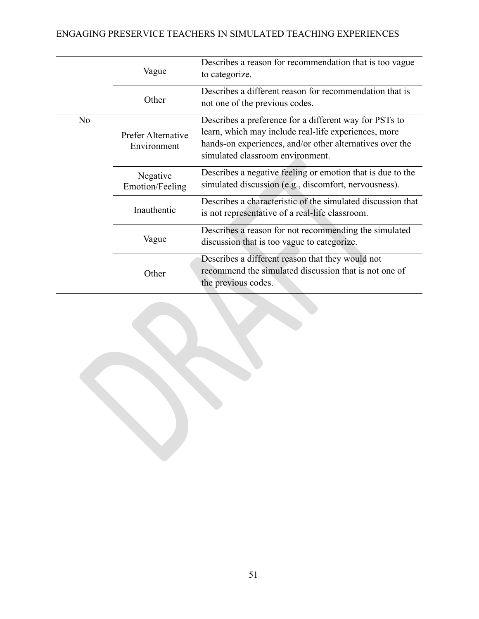|    | Vague                             | Describes a reason for recommendation that is too vague<br>to categorize.<br>Describes a different reason for recommendation that is<br>not one of the previous codes.                                         |  |  |  |  |  |  |
|----|-----------------------------------|----------------------------------------------------------------------------------------------------------------------------------------------------------------------------------------------------------------|--|--|--|--|--|--|
|    | Other                             |                                                                                                                                                                                                                |  |  |  |  |  |  |
| No | Prefer Alternative<br>Environment | Describes a preference for a different way for PSTs to<br>learn, which may include real-life experiences, more<br>hands-on experiences, and/or other alternatives over the<br>simulated classroom environment. |  |  |  |  |  |  |
|    | Negative<br>Emotion/Feeling       | Describes a negative feeling or emotion that is due to the<br>simulated discussion (e.g., discomfort, nervousness).                                                                                            |  |  |  |  |  |  |
|    | Inauthentic                       | Describes a characteristic of the simulated discussion that<br>is not representative of a real-life classroom.                                                                                                 |  |  |  |  |  |  |
|    | Vague                             | Describes a reason for not recommending the simulated<br>discussion that is too vague to categorize.                                                                                                           |  |  |  |  |  |  |
|    | Other                             | Describes a different reason that they would not<br>recommend the simulated discussion that is not one of<br>the previous codes.                                                                               |  |  |  |  |  |  |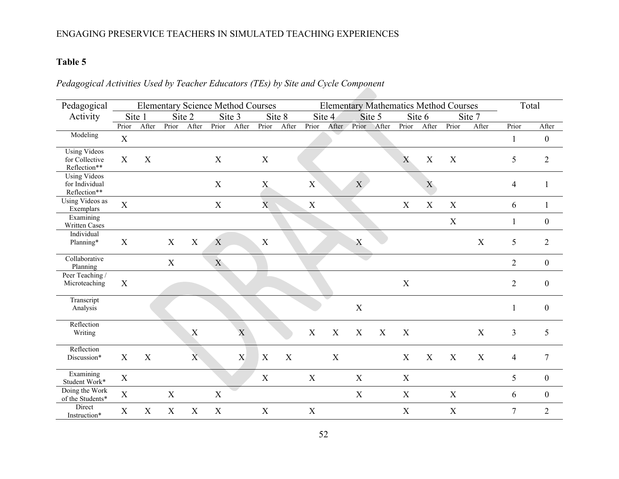# **Table 5**

# *Pedagogical Activities Used by Teacher Educators (TEs) by Site and Cycle Component*

| Pedagogical                                           |             |                           | <b>Elementary Science Method Courses</b> |                |              |        |                  |        |                  |             |                  |        |             |                | <b>Elementary Mathematics Method Courses</b> |                  |                | Total            |
|-------------------------------------------------------|-------------|---------------------------|------------------------------------------|----------------|--------------|--------|------------------|--------|------------------|-------------|------------------|--------|-------------|----------------|----------------------------------------------|------------------|----------------|------------------|
| Activity                                              |             | Site 1                    |                                          | Site 2         |              | Site 3 |                  | Site 8 |                  | Site 4      |                  | Site 5 |             | Site 6         |                                              | Site 7           |                |                  |
|                                                       | Prior       | After                     | Prior                                    | After          | Prior        | After  | Prior            | After  | Prior            | After       | Prior            | After  | Prior       | After          | Prior                                        | After            | Prior          | After            |
| Modeling                                              | $\mathbf X$ |                           |                                          |                |              |        |                  |        |                  |             |                  |        |             |                |                                              |                  | 1              | $\boldsymbol{0}$ |
| <b>Using Videos</b><br>for Collective<br>Reflection** | X           | $\boldsymbol{\mathrm{X}}$ |                                          |                | $\mathbf X$  |        | $\mathbf X$      |        |                  |             |                  |        | X           | X              | X                                            |                  | $\mathfrak{S}$ | $\overline{2}$   |
| <b>Using Videos</b><br>for Individual<br>Reflection** |             |                           |                                          |                | $\mathbf X$  |        | $\mathbf X$      |        | X                |             | X                |        |             | $\overline{X}$ |                                              |                  | $\overline{4}$ | 1                |
| Using Videos as<br>Exemplars                          | $\mathbf X$ |                           |                                          |                | $\mathbf X$  |        | $\mathbf{X}$     |        | $\mathbf X$      |             |                  |        | $\mathbf X$ | $\mathbf X$    | $\mathbf X$                                  |                  | 6              | 1                |
| Examining<br>Written Cases                            |             |                           |                                          |                |              |        |                  |        |                  |             |                  |        |             |                | X                                            |                  | $\mathbf{1}$   | $\boldsymbol{0}$ |
| Individual<br>Planning*                               | X           |                           | X                                        | X              | X            |        | $\boldsymbol{X}$ |        |                  |             | $\mathbf X$      |        |             |                |                                              | X                | 5              | $\mathbf{2}$     |
| Collaborative<br>Planning                             |             |                           | X                                        |                | $\mathbf{X}$ |        |                  |        |                  |             |                  |        |             |                |                                              |                  | $\overline{2}$ | $\mathbf{0}$     |
| Peer Teaching /<br>Microteaching                      | X           |                           |                                          |                |              |        |                  |        |                  |             |                  |        | $\mathbf X$ |                |                                              |                  | $\overline{2}$ | $\boldsymbol{0}$ |
| Transcript<br>Analysis                                |             |                           |                                          |                |              |        |                  |        |                  |             | $\boldsymbol{X}$ |        |             |                |                                              |                  | $\mathbf{1}$   | $\theta$         |
| Reflection<br>Writing                                 |             |                           |                                          | X              |              | X      |                  |        | X                | X           | X                | X      | X           |                |                                              | X                | 3              | 5                |
| Reflection<br>Discussion*                             | X           | X                         |                                          | $\overline{X}$ |              | X      | X                | X      |                  | $\mathbf X$ |                  |        | $\mathbf X$ | X              | $\mathbf X$                                  | $\boldsymbol{X}$ | $\overline{4}$ | $\tau$           |
| Examining<br>Student Work*                            | $\mathbf X$ |                           |                                          |                |              |        | X                |        | $\boldsymbol{X}$ |             | X                |        | X           |                |                                              |                  | 5              | $\boldsymbol{0}$ |
| Doing the Work<br>of the Students*                    | $\mathbf X$ |                           | $\mathbf X$                              |                | $\mathbf X$  |        |                  |        |                  |             | X                |        | $\mathbf X$ |                | $\mathbf X$                                  |                  | 6              | $\boldsymbol{0}$ |
| Direct<br>Instruction*                                | X           | $\mathbf X$               | $\boldsymbol{\mathrm{X}}$                | $\mathbf X$    | $\mathbf X$  |        | X                |        | $\mathbf X$      |             |                  |        | X           |                | X                                            |                  | $\overline{7}$ | $\overline{2}$   |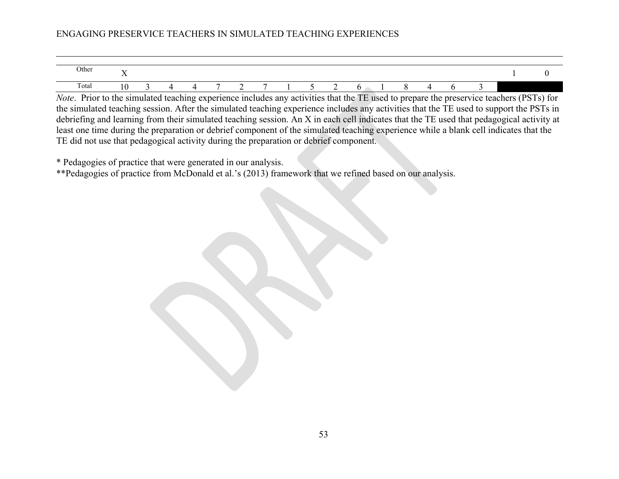| Other | $-$<br>. . |  |   |   |   |  |  |  |  |  |
|-------|------------|--|---|---|---|--|--|--|--|--|
| Total | 1 V        |  | - | ∼ | - |  |  |  |  |  |

*Note*. Prior to the simulated teaching experience includes any activities that the TE used to prepare the preservice teachers (PSTs) for the simulated teaching session. After the simulated teaching experience includes any activities that the TE used to support the PSTs in debriefing and learning from their simulated teaching session. An X in each cell indicates that the TE used that pedagogical activity at least one time during the preparation or debrief component of the simulated teaching experience while a blank cell indicates that the TE did not use that pedagogical activity during the preparation or debrief component.

\* Pedagogies of practice that were generated in our analysis.

\*\*Pedagogies of practice from McDonald et al.'s (2013) framework that we refined based on our analysis.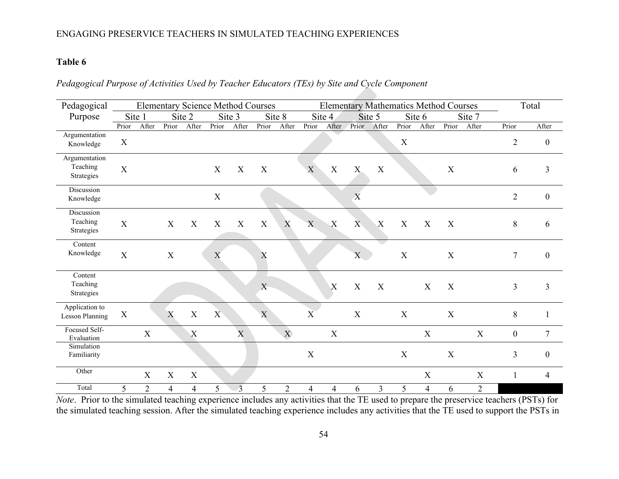## **Table 6**

## *Pedagogical Purpose of Activities Used by Teacher Educators (TEs) by Site and Cycle Component*

| Pedagogical                              |                           |                | <b>Elementary Science Method Courses</b> |                  |             |                |             |            |             |                  |                           |                  |              | <b>Elementary Mathematics Method Courses</b> |             |                |                  | Total            |
|------------------------------------------|---------------------------|----------------|------------------------------------------|------------------|-------------|----------------|-------------|------------|-------------|------------------|---------------------------|------------------|--------------|----------------------------------------------|-------------|----------------|------------------|------------------|
| Purpose                                  |                           | Site 1         |                                          | Site 2           |             | Site 3         |             | Site 8     |             | Site 4           |                           | Site 5           |              | Site 6                                       |             | Site 7         |                  |                  |
|                                          | Prior                     | After          | Prior                                    | After            | Prior       | After          | Prior       | After      | Prior       | After            | Prior                     | After            | Prior        | After                                        | Prior       | After          | Prior            | After            |
| Argumentation<br>Knowledge               | $\boldsymbol{\mathrm{X}}$ |                |                                          |                  |             |                |             |            |             |                  |                           |                  | $\mathbf X$  |                                              |             |                | $\overline{2}$   | $\boldsymbol{0}$ |
| Argumentation<br>Teaching<br>Strategies  | $\mathbf X$               |                |                                          |                  | X           | X              | X           |            | X           | X                | $\boldsymbol{\mathrm{X}}$ | X                |              |                                              | $\mathbf X$ |                | 6                | 3                |
| Discussion<br>Knowledge                  |                           |                |                                          |                  | $\mathbf X$ |                |             |            |             |                  | $\boldsymbol{\mathrm{X}}$ |                  |              |                                              |             |                | $\overline{2}$   | $\mathbf{0}$     |
| Discussion<br>Teaching<br>Strategies     | $\mathbf X$               |                | X                                        | $\mathbf X$      | $\mathbf X$ | X              | $\mathbf X$ | X          | $\mathbf X$ | $\mathbf X$      | $\overline{X}$            | $\boldsymbol{X}$ | $\mathbf{X}$ | $\mathbf{X}$                                 | X           |                | $\,8\,$          | 6                |
| Content<br>Knowledge                     | $\mathbf X$               |                | $\mathbf X$                              |                  | X           |                | X           |            |             |                  | $\mathbf{X}$              |                  | $\mathbf X$  |                                              | $\mathbf X$ |                | $\overline{7}$   | $\boldsymbol{0}$ |
| Content<br>Teaching<br>Strategies        |                           |                |                                          |                  |             |                | X           |            |             | $\boldsymbol{X}$ | X                         | X                |              | $\boldsymbol{\mathrm{X}}$                    | X           |                | 3                | $\mathfrak{Z}$   |
| Application to<br><b>Lesson Planning</b> | $\boldsymbol{\mathrm{X}}$ |                | X                                        | $\mathbf X$      | X           |                | X           |            | X           |                  | $\mathbf X$               |                  | X            |                                              | $\mathbf X$ |                | $\,8\,$          |                  |
| Focused Self-<br>Evaluation              |                           | $\mathbf X$    |                                          | $\boldsymbol{X}$ |             | $\mathbf{X}$   |             | X          |             | $\mathbf X$      |                           |                  |              | $\mathbf X$                                  |             | $\mathbf X$    | $\boldsymbol{0}$ | $\tau$           |
| Simulation<br>Familiarity                |                           |                |                                          |                  |             |                |             |            | X           |                  |                           |                  | X            |                                              | $\mathbf X$ |                | 3                | $\boldsymbol{0}$ |
| Other                                    |                           | X              | X                                        | $\mathbf X$      |             |                |             |            |             |                  |                           |                  |              | X                                            |             | X              | $\mathbf{1}$     | $\overline{4}$   |
| Total                                    | 5                         | $\overline{2}$ | 4                                        | $\overline{4}$   | 5           | $\overline{3}$ | 5           | $\sqrt{2}$ | 4           | 4                | 6                         | 3                | 5            | $\overline{4}$                               | 6           | $\overline{2}$ |                  |                  |

*Note*. Prior to the simulated teaching experience includes any activities that the TE used to prepare the preservice teachers (PSTs) for the simulated teaching session. After the simulated teaching experience includes any activities that the TE used to support the PSTs in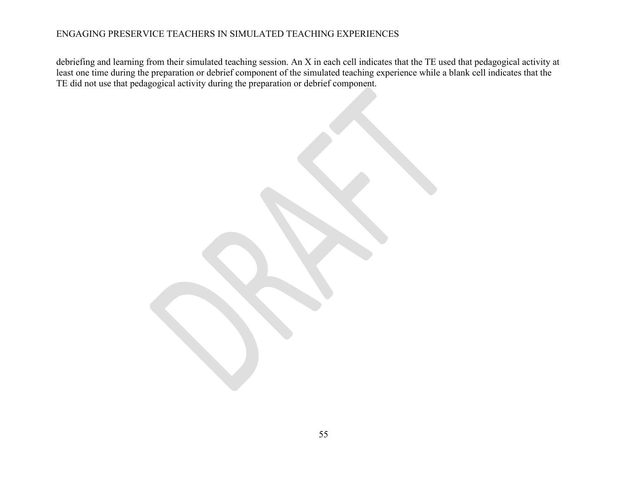debriefing and learning from their simulated teaching session. An X in each cell indicates that the TE used that pedagogical activity at least one time during the preparation or debrief component of the simulated teaching experience while a blank cell indicates that the TE did not use that pedagogical activity during the preparation or debrief component.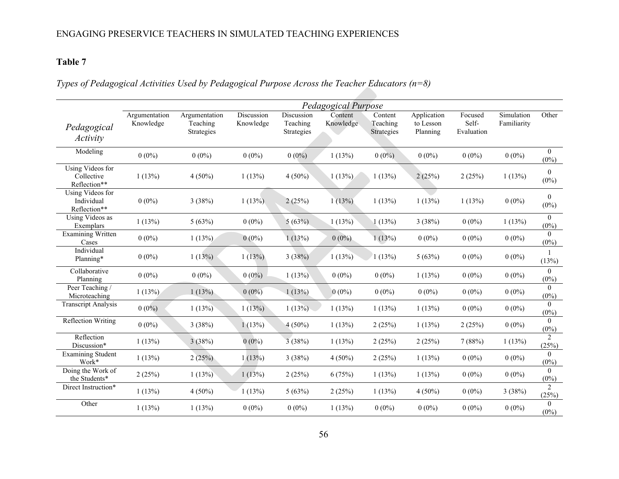# **Table 7**

# *Types of Pedagogical Activities Used by Pedagogical Purpose Across the Teacher Educators (n=8)*

|                                                | Pedagogical Purpose        |                                         |                         |                                      |                      |                                   |                                      |                                |                           |                           |  |  |  |
|------------------------------------------------|----------------------------|-----------------------------------------|-------------------------|--------------------------------------|----------------------|-----------------------------------|--------------------------------------|--------------------------------|---------------------------|---------------------------|--|--|--|
| Pedagogical<br>Activity                        | Argumentation<br>Knowledge | Argumentation<br>Teaching<br>Strategies | Discussion<br>Knowledge | Discussion<br>Teaching<br>Strategies | Content<br>Knowledge | Content<br>Teaching<br>Strategies | Application<br>to Lesson<br>Planning | Focused<br>Self-<br>Evaluation | Simulation<br>Familiarity | Other                     |  |  |  |
| Modeling                                       | $0(0\%)$                   | $0(0\%)$                                | $0(0\%)$                | $0(0\%)$                             | 1(13%)               | $0(0\%)$                          | $0(0\%)$                             | $0(0\%)$                       | $0(0\%)$                  | $\overline{0}$<br>$(0\%)$ |  |  |  |
| Using Videos for<br>Collective<br>Reflection** | 1(13%)                     | $4(50\%)$                               | 1(13%)                  | $4(50\%)$                            | 1(13%)               | 1(13%)                            | 2(25%)                               | 2(25%)                         | 1(13%)                    | $\theta$<br>$(0\%)$       |  |  |  |
| Using Videos for<br>Individual<br>Reflection** | $0(0\%)$                   | 3(38%)                                  | 1(13%)                  | 2(25%)                               | 1(13%)               | 1(13%)                            | 1(13%)                               | 1(13%)                         | $0(0\%)$                  | $\theta$<br>$(0\%)$       |  |  |  |
| Using Videos as<br>Exemplars                   | 1(13%)                     | 5(63%)                                  | $0(0\%)$                | 5(63%)                               | 1(13%)               | 1(13%)                            | 3(38%)                               | $0(0\%)$                       | 1(13%)                    | $\theta$<br>$(0\%)$       |  |  |  |
| <b>Examining Written</b><br>Cases              | $0(0\%)$                   | 1(13%)                                  | $0(0\%)$                | 1(13%)                               | $0(0\%)$             | 1(13%)                            | $0(0\%)$                             | $0(0\%)$                       | $0(0\%)$                  | $\theta$<br>$(0\%)$       |  |  |  |
| Individual<br>Planning*                        | $0(0\%)$                   | 1(13%)                                  | 1(13%)                  | 3(38%)                               | 1(13%)               | 1(13%)                            | 5(63%)                               | $0(0\%)$                       | $0(0\%)$                  | $\overline{1}$<br>(13%)   |  |  |  |
| Collaborative<br>Planning                      | $0(0\%)$                   | $0(0\%)$                                | $0(0\%)$                | 1(13%)                               | $0(0\%)$             | $0(0\%)$                          | 1(13%)                               | $0(0\%)$                       | $0(0\%)$                  | $\theta$<br>$(0\%)$       |  |  |  |
| Peer Teaching /<br>Microteaching               | 1(13%)                     | 1(13%)                                  | $0(0\%)$                | 1(13%)                               | $0(0\%)$             | $0(0\%)$                          | $0(0\%)$                             | $0(0\%)$                       | $0(0\%)$                  | $\Omega$<br>$(0\%)$       |  |  |  |
| <b>Transcript Analysis</b>                     | $0(0\%)$                   | 1(13%)                                  | 1(13%)                  | 1(13%)                               | 1(13%)               | 1(13%)                            | 1(13%)                               | $0(0\%)$                       | $0(0\%)$                  | $\Omega$<br>$(0\%)$       |  |  |  |
| <b>Reflection Writing</b>                      | $0(0\%)$                   | 3(38%)                                  | 1(13%)                  | $4(50\%)$                            | 1(13%)               | 2(25%)                            | 1(13%)                               | 2(25%)                         | $0(0\%)$                  | $\theta$<br>$(0\%)$       |  |  |  |
| Reflection<br>Discussion*                      | 1(13%)                     | 3(38%)                                  | $0(0\%)$                | 3(38%)                               | 1(13%)               | 2(25%)                            | 2(25%)                               | 7(88%)                         | 1(13%)                    | $\overline{2}$<br>(25%)   |  |  |  |
| <b>Examining Student</b><br>Work*              | 1(13%)                     | 2(25%)                                  | 1(13%)                  | 3(38%)                               | $4(50\%)$            | 2(25%)                            | 1(13%)                               | $0(0\%)$                       | $0(0\%)$                  | $\theta$<br>$(0\%)$       |  |  |  |
| Doing the Work of<br>the Students*             | 2(25%)                     | 1(13%)                                  | 1(13%)                  | 2(25%)                               | 6(75%)               | 1(13%)                            | 1(13%)                               | $0(0\%)$                       | $0(0\%)$                  | $\Omega$<br>$(0\%)$       |  |  |  |
| Direct Instruction*                            | 1(13%)                     | $4(50\%)$                               | 1(13%)                  | 5(63%)                               | 2(25%)               | 1(13%)                            | $4(50\%)$                            | $0(0\%)$                       | 3(38%)                    | $\overline{2}$<br>(25%)   |  |  |  |
| Other                                          | 1(13%)                     | 1(13%)                                  | $0(0\%)$                | $0(0\%)$                             | 1(13%)               | $0(0\%)$                          | $0(0\%)$                             | $0(0\%)$                       | $0(0\%)$                  | $\theta$<br>$(0\%)$       |  |  |  |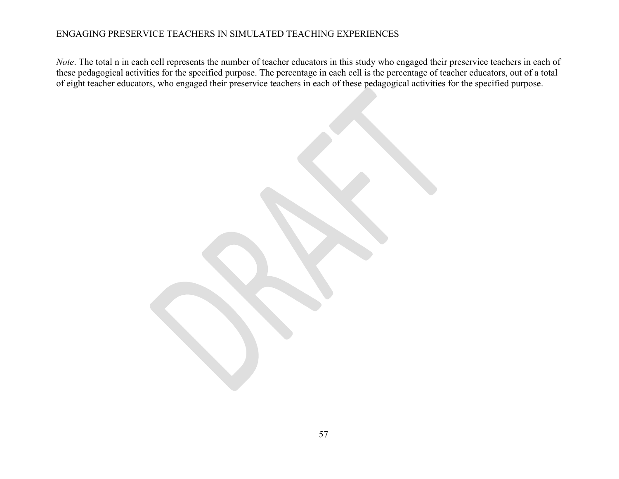*Note*. The total n in each cell represents the number of teacher educators in this study who engaged their preservice teachers in each of these pedagogical activities for the specified purpose. The percentage in each cell is the percentage of teacher educators, out of a total of eight teacher educators, who engaged their preservice teachers in each of these pedagogical activities for the specified purpose.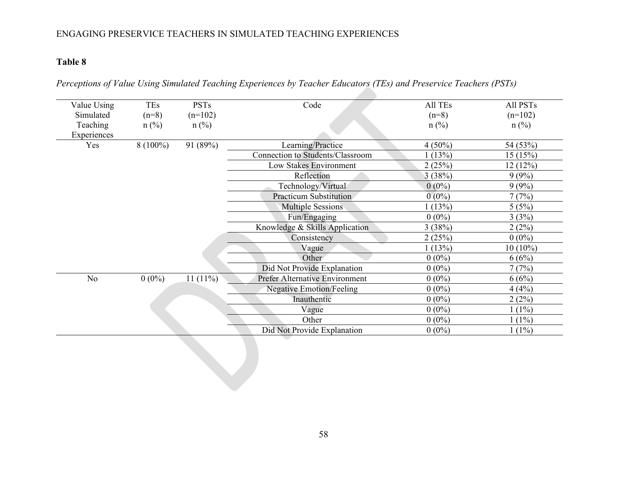# **Table 8**

| Perceptions of Value Using Simulated Teaching Experiences by Teacher Educators (TEs) and Preservice Teachers (PSTs) |  |  |  |
|---------------------------------------------------------------------------------------------------------------------|--|--|--|
|                                                                                                                     |  |  |  |

| Value Using<br>Simulated | <b>TEs</b><br>$(n=8)$ | <b>PSTs</b><br>$(n=102)$ | Code                                    | All TEs<br>$(n=8)$ | All PSTs<br>$(n=102)$ |
|--------------------------|-----------------------|--------------------------|-----------------------------------------|--------------------|-----------------------|
| Teaching<br>Experiences  | $n$ (%)               | $n$ (%)                  |                                         | $n$ (%)            | $n$ (%)               |
| Yes                      | $8(100\%)$            | 91 (89%)                 | Learning/Practice                       | $4(50\%)$          | 54 (53%)              |
|                          |                       |                          | <b>Connection to Students/Classroom</b> | 1(13%)             | 15(15%)               |
|                          |                       |                          | Low Stakes Environment                  | 2(25%)             | 12(12%)               |
|                          |                       |                          | Reflection                              | 3(38%)             | 9(9%)                 |
|                          |                       |                          | Technology/Virtual                      | $0(0\%)$           | 9(9%)                 |
|                          |                       |                          | Practicum Substitution                  | $0(0\%)$           | 7(7%)                 |
|                          |                       |                          | <b>Multiple Sessions</b>                | 1(13%)             | 5(5%)                 |
|                          |                       |                          | Fun/Engaging                            | $0(0\%)$           | 3(3%)                 |
|                          |                       |                          | Knowledge & Skills Application          | 3(38%)             | 2(2%)                 |
|                          |                       |                          | Consistency                             | 2(25%)             | $0(0\%)$              |
|                          |                       |                          | Vague                                   | 1(13%)             | $10(10\%)$            |
|                          |                       |                          | Other                                   | $0(0\%)$           | 6(6%)                 |
|                          |                       |                          | Did Not Provide Explanation             | $0(0\%)$           | 7(7%)                 |
| No                       | $0(0\%)$              | $11(11\%)$               | <b>Prefer Alternative Environment</b>   | $0(0\%)$           | 6(6%)                 |
|                          |                       |                          | <b>Negative Emotion/Feeling</b>         | $0(0\%)$           | 4(4%)                 |
|                          |                       |                          | Inauthentic                             | $0(0\%)$           | 2(2%)                 |
|                          |                       |                          | Vague                                   | $0(0\%)$           | $1(1\%)$              |
|                          |                       |                          | Other                                   | $0(0\%)$           | $1(1\%)$              |
|                          |                       |                          | Did Not Provide Explanation             | $0(0\%)$           | $1(1\%)$              |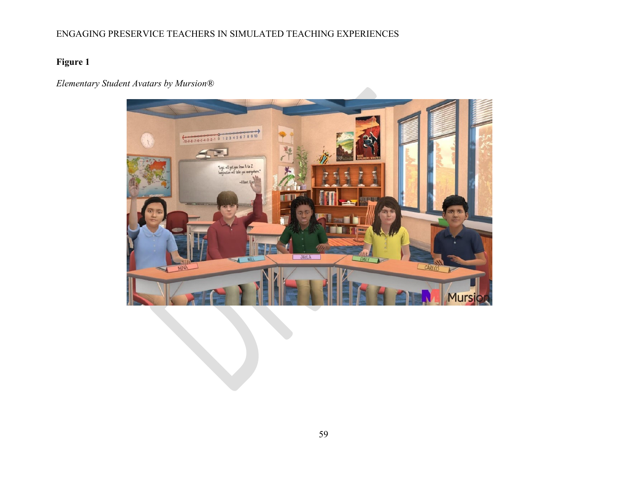# **Figure 1**

# *Elementary Student Avatars by Mursion®*

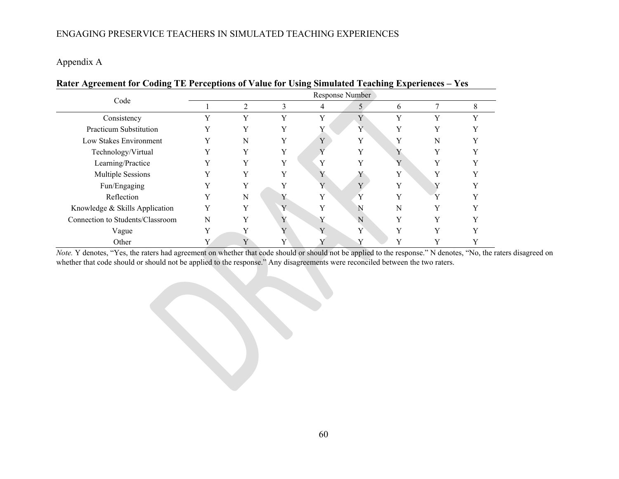Appendix A

|                                  |   |   |              |                | Response Number |   |              |   |  |  |  |  |  |  |  |  |  |  |
|----------------------------------|---|---|--------------|----------------|-----------------|---|--------------|---|--|--|--|--|--|--|--|--|--|--|
| Code                             |   | 2 | 3            |                | 5               | 6 |              | 8 |  |  |  |  |  |  |  |  |  |  |
| Consistency                      |   | Y | v            |                | Y               | v | v            |   |  |  |  |  |  |  |  |  |  |  |
| Practicum Substitution           | Y | Y | V            |                | Y               | Y | V            |   |  |  |  |  |  |  |  |  |  |  |
| Low Stakes Environment           | Y | N |              | $\overline{V}$ | Y               | v | N            |   |  |  |  |  |  |  |  |  |  |  |
| Technology/Virtual               | v | Y | v            |                | v               |   | $\mathbf{v}$ |   |  |  |  |  |  |  |  |  |  |  |
| Learning/Practice                |   | Y | v            |                |                 | Y |              |   |  |  |  |  |  |  |  |  |  |  |
| Multiple Sessions                |   | Y | v            |                |                 | Y | v            |   |  |  |  |  |  |  |  |  |  |  |
| Fun/Engaging                     |   | Y |              | $\mathbf{v}$   | $\mathbf{v}$    | v |              |   |  |  |  |  |  |  |  |  |  |  |
| Reflection                       |   | N |              |                |                 |   |              |   |  |  |  |  |  |  |  |  |  |  |
| Knowledge & Skills Application   | v | Y | $\mathbf{V}$ |                | N               | N | $\mathbf{v}$ |   |  |  |  |  |  |  |  |  |  |  |
| Connection to Students/Classroom | N | Y | Y            |                | N               | Y | v            |   |  |  |  |  |  |  |  |  |  |  |
| Vague                            | Y | v |              | $\overline{V}$ | Y               | Y | $\mathbf{v}$ |   |  |  |  |  |  |  |  |  |  |  |
| Other                            |   | Y | v            |                | v               | v |              |   |  |  |  |  |  |  |  |  |  |  |

**Rater Agreement for Coding TE Perceptions of Value for Using Simulated Teaching Experiences – Yes**

*Note.* Y denotes, "Yes, the raters had agreement on whether that code should or should not be applied to the response." N denotes, "No, the raters disagreed on whether that code should or should not be applied to the response." Any disagreements were reconciled between the two raters.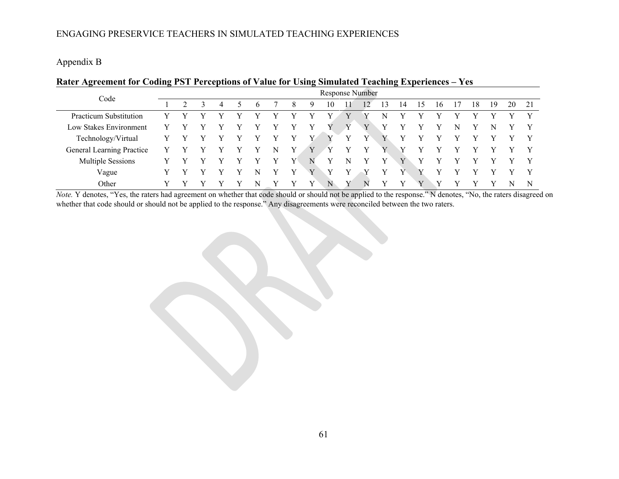Appendix B

| Rater Agreement for Coding PST Perceptions of Value for Using Simulated Teaching Experiences - Yes |
|----------------------------------------------------------------------------------------------------|
|----------------------------------------------------------------------------------------------------|

| Code                      | Response Number |  |  |   |  |   |   |   |   |    |   |    |    |    |    |    |   |    |    |    |    |
|---------------------------|-----------------|--|--|---|--|---|---|---|---|----|---|----|----|----|----|----|---|----|----|----|----|
|                           |                 |  |  | 4 |  | h |   | 8 | 9 | 10 |   | 12 | 13 | 14 | 15 | 16 |   | 18 | 19 | 20 | 21 |
| Practicum Substitution    |                 |  |  |   |  |   | v |   | v |    |   |    | N  |    |    |    |   |    |    |    | V  |
| Low Stakes Environment    |                 |  |  |   |  |   |   |   |   |    |   |    |    |    |    |    | N |    | N  |    |    |
| Technology/Virtual        |                 |  |  |   |  |   |   |   | v |    |   |    |    |    |    |    |   |    |    |    |    |
| General Learning Practice |                 |  |  |   |  |   | N |   |   |    |   |    |    |    |    |    |   |    |    |    | V  |
| <b>Multiple Sessions</b>  |                 |  |  |   |  |   |   | v | N | v  | N |    |    |    |    |    |   |    |    |    |    |
| Vague                     |                 |  |  |   |  |   |   |   |   |    |   |    |    |    |    |    |   |    |    |    | v  |
| Other                     |                 |  |  |   |  | N | v |   | v | N  | v | N  | v  | v  | v  | v  |   |    |    |    | N  |

*Note.* Y denotes, "Yes, the raters had agreement on whether that code should or should not be applied to the response." N denotes, "No, the raters disagreed on whether that code should or should not be applied to the response." Any disagreements were reconciled between the two raters.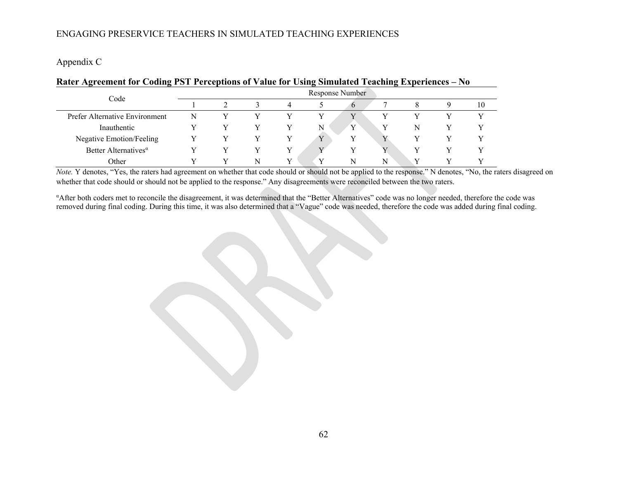Appendix C

| Ture represented to County for Ferrelling of Ture for Coing Simulated Featuring Experiences and |   |   |   |                 |   |   |    |
|-------------------------------------------------------------------------------------------------|---|---|---|-----------------|---|---|----|
| Code                                                                                            |   |   |   | Response Number |   |   |    |
|                                                                                                 |   |   |   | $\sigma$        |   |   | 10 |
| Prefer Alternative Environment                                                                  | N |   |   | $\rm{V}$        |   |   |    |
| Inauthentic                                                                                     |   |   |   | $\mathbf{v}$    |   | N |    |
| Negative Emotion/Feeling                                                                        |   |   |   |                 |   |   |    |
| Better Alternatives <sup><math>\alpha</math></sup>                                              |   |   |   |                 |   |   |    |
| Other                                                                                           |   | N | v | N               | N |   |    |

#### **Rater Agreement for Coding PST Perceptions of Value for Using Simulated Teaching Experiences – No**

*Note.* Y denotes, "Yes, the raters had agreement on whether that code should or should not be applied to the response." N denotes, "No, the raters disagreed on whether that code should or should not be applied to the response." Any disagreements were reconciled between the two raters.

α After both coders met to reconcile the disagreement, it was determined that the "Better Alternatives" code was no longer needed, therefore the code was removed during final coding. During this time, it was also determined that a "Vague" code was needed, therefore the code was added during final coding.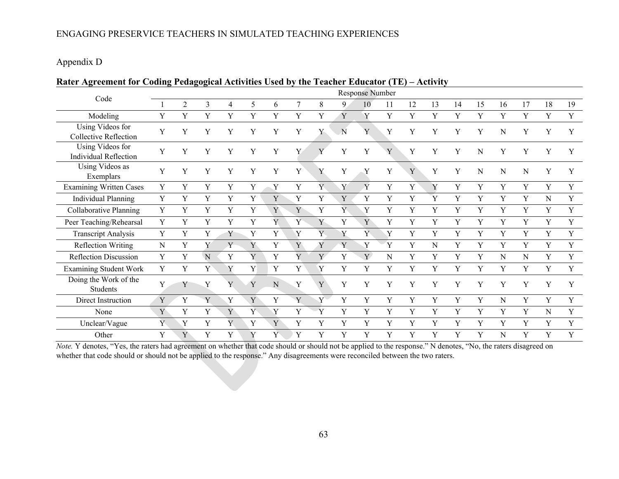## Appendix D

## **Rater Agreement for Coding Pedagogical Activities Used by the Teacher Educator (TE) – Activity**

|                                                  |             |                |             |   |             |   |   |           |    | <b>Response Number</b>    |    |    |           |    |    |    |    |             |    |
|--------------------------------------------------|-------------|----------------|-------------|---|-------------|---|---|-----------|----|---------------------------|----|----|-----------|----|----|----|----|-------------|----|
| Code                                             |             | $\overline{2}$ | 3           | 4 | 5           | 6 | 7 | 8         | 9. | 10                        | 11 | 12 | 13        | 14 | 15 | 16 | 17 | 18          | 19 |
| Modeling                                         | Y           | Y              | Y           | Y | Y           | Y | Y | Y         | Y  | Y                         | Y  | Y  | Y         | Y  | Y  | Y  | Y  | $\mathbf Y$ | Y  |
| Using Videos for<br><b>Collective Reflection</b> | Y           | Y              |             |   | Y           | Y | Y | Y         | N  | Y                         | Y  | Y  | Y         |    | Y  | N  | Y  |             | Y  |
| Using Videos for<br><b>Individual Reflection</b> | Y           | Y              | Y           |   | Y           | Y | Y | V         | Y  | Y                         | Y  | Y  | Y         |    | N  | Y  |    |             |    |
| Using Videos as<br>Exemplars                     | Y           | Y              | Y           |   | Y           | Y | Y | Y         | Y  | Y                         | Y  | Y  | Y         | Y  | N  | N  | N  | Y           | Y  |
| <b>Examining Written Cases</b>                   | Y           | Y              | Y           | Y | $\mathbf Y$ | Y | Y | Y         | Y  | $\boldsymbol{\mathsf{Y}}$ | Y  | Y  | Y         | Y  | Y  | Y  | Y  | $\mathbf Y$ | Y  |
| <b>Individual Planning</b>                       | Y           | Y              | Y           | Y | Y           | Y | Y | Y         | Y  | Y                         | Y  | Y  | Y         | Y  | Y  | Y  | Y  | ${\bf N}$   | Y  |
| Collaborative Planning                           | Y           | Y              | Y           | Y | Y           | Y | Y | Y         | Y  | Y                         | Y  | Y  | Y         | Y  | Y  | Y  | Y  | Y           | Y  |
| Peer Teaching/Rehearsal                          | Y           | Y              | Y           | Y | Y           | Y | Y | Y         | Y  | Y                         | Y  | Y  | Y         | Y  | Y  | Y  | Y  | Y           | Y  |
| <b>Transcript Analysis</b>                       | Y           | Y              | Y           | Y | Y           | Y | Y | Y         | Y  | Y                         | Y  | Y  | Y         | Y  | Y  | Y  | Y  | Y           | Y  |
| <b>Reflection Writing</b>                        | ${\bf N}$   | Y              | Y           | Y | Y           | Y | Y | Y         | Y  | Y                         | Y  | Y  | ${\bf N}$ | Y  | Y  | Y  | Y  | Y           | Y  |
| Reflection Discussion                            | Y           | Y              | $\mathbf N$ | Y | Y           | Y | Y | Y         | Y  | Y                         | N  | Y  | Y         | Y  | Y  | N  | N  | Y           | Y  |
| <b>Examining Student Work</b>                    | Y           | Y              | Y           | Y | Y           | Y | Y | Y         | Y  | Y                         | Y  | Y  | Y         | Y  | Y  | Y  | Y  | Y           | Y  |
| Doing the Work of the<br>Students                | Y           | Y              | Y           | Y | Y           | N | Y | Y         | Y  | Y                         | Y  | Y  | Y         | Y  | Y  | Y  | Y  | Y           | Y  |
| Direct Instruction                               | $\mathbf Y$ | Y              | Y           | Y | Y           | Y | Y | $\rm Y$ – | Y  | Y                         | Y  | Y  | Y         | Y  | Y  | N  | Y  | Y           | Y  |
| None                                             | Y           | Y              | Y           | Y | Ý           | Y | Y | Y         | Y  | Y                         | Y  | Y  | Y         | Y  | Y  | Y  | Y  | N           | Y  |
| Unclear/Vague                                    | Y           | Y              | Y           | Y | Y           | Y | Y | Y         | Y  | Y                         | Y  | Y  | Y         | Y  | Y  | Y  | Y  | Y           | Y  |
| Other                                            | Y           | Y              | Y           |   | Y           | Y | Y | Y         |    | Y                         | Y  | Y  | Y         | V  | Y  | N  | Y  | Y           | Y  |

*Note.* Y denotes, "Yes, the raters had agreement on whether that code should or should not be applied to the response." N denotes, "No, the raters disagreed on whether that code should or should not be applied to the response." Any disagreements were reconciled between the two raters.